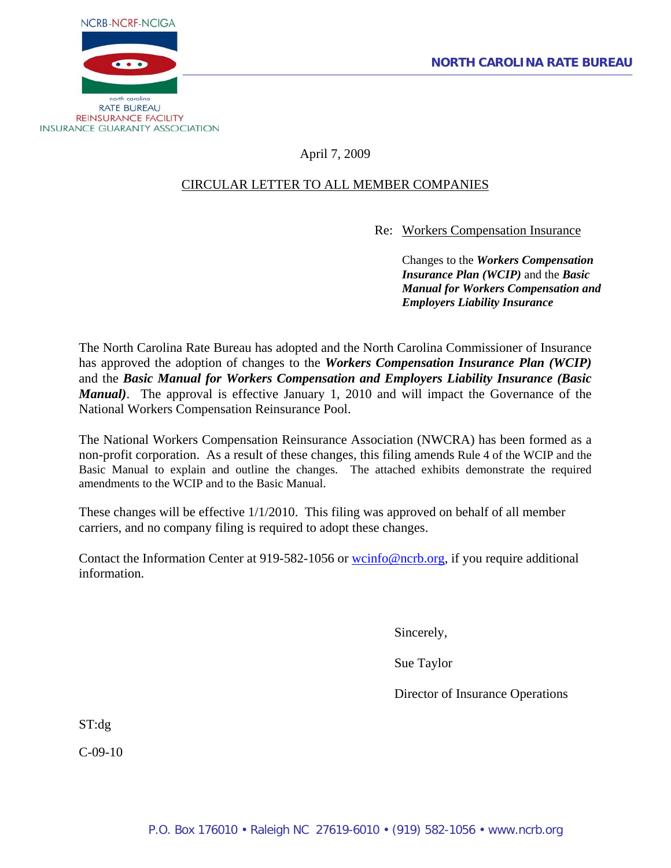

# April 7, 2009

# CIRCULAR LETTER TO ALL MEMBER COMPANIES

Re: Workers Compensation Insurance

Changes to the *Workers Compensation Insurance Plan (WCIP)* and the *Basic Manual for Workers Compensation and Employers Liability Insurance*

The North Carolina Rate Bureau has adopted and the North Carolina Commissioner of Insurance has approved the adoption of changes to the *Workers Compensation Insurance Plan (WCIP)* and the *Basic Manual for Workers Compensation and Employers Liability Insurance (Basic Manual)*. The approval is effective January 1, 2010 and will impact the Governance of the National Workers Compensation Reinsurance Pool.

The National Workers Compensation Reinsurance Association (NWCRA) has been formed as a non-profit corporation. As a result of these changes, this filing amends Rule 4 of the WCIP and the Basic Manual to explain and outline the changes. The attached exhibits demonstrate the required amendments to the WCIP and to the Basic Manual.

These changes will be effective 1/1/2010. This filing was approved on behalf of all member carriers, and no company filing is required to adopt these changes.

Contact the Information Center at 919-582-1056 or [wcinfo@ncrb.org,](mailto:wcinfo@ncrb.org) if you require additional information.

Sincerely,

Sue Taylor

Director of Insurance Operations

ST:dg

C-09-10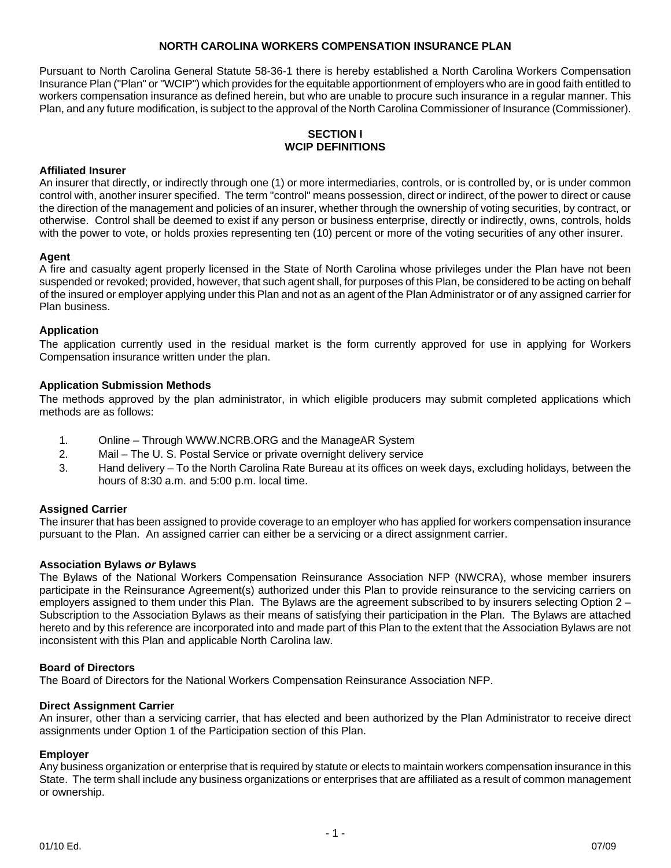### **NORTH CAROLINA WORKERS COMPENSATION INSURANCE PLAN**

Pursuant to North Carolina General Statute 58-36-1 there is hereby established a North Carolina Workers Compensation Insurance Plan ("Plan" or "WCIP") which provides for the equitable apportionment of employers who are in good faith entitled to workers compensation insurance as defined herein, but who are unable to procure such insurance in a regular manner. This Plan, and any future modification, is subject to the approval of the North Carolina Commissioner of Insurance (Commissioner).

### **SECTION I WCIP DEFINITIONS**

#### **Affiliated Insurer**

An insurer that directly, or indirectly through one (1) or more intermediaries, controls, or is controlled by, or is under common control with, another insurer specified. The term "control" means possession, direct or indirect, of the power to direct or cause the direction of the management and policies of an insurer, whether through the ownership of voting securities, by contract, or otherwise. Control shall be deemed to exist if any person or business enterprise, directly or indirectly, owns, controls, holds with the power to vote, or holds proxies representing ten (10) percent or more of the voting securities of any other insurer.

#### **Agent**

A fire and casualty agent properly licensed in the State of North Carolina whose privileges under the Plan have not been suspended or revoked; provided, however, that such agent shall, for purposes of this Plan, be considered to be acting on behalf of the insured or employer applying under this Plan and not as an agent of the Plan Administrator or of any assigned carrier for Plan business.

#### **Application**

The application currently used in the residual market is the form currently approved for use in applying for Workers Compensation insurance written under the plan.

#### **Application Submission Methods**

The methods approved by the plan administrator, in which eligible producers may submit completed applications which methods are as follows:

- 1. Online Through WWW.NCRB.ORG and the ManageAR System
- 2. Mail The U. S. Postal Service or private overnight delivery service
- 3. Hand delivery To the North Carolina Rate Bureau at its offices on week days, excluding holidays, between the hours of 8:30 a.m. and 5:00 p.m. local time.

#### **Assigned Carrier**

The insurer that has been assigned to provide coverage to an employer who has applied for workers compensation insurance pursuant to the Plan. An assigned carrier can either be a servicing or a direct assignment carrier.

#### **Association Bylaws** *or* **Bylaws**

The Bylaws of the National Workers Compensation Reinsurance Association NFP (NWCRA), whose member insurers participate in the Reinsurance Agreement(s) authorized under this Plan to provide reinsurance to the servicing carriers on employers assigned to them under this Plan. The Bylaws are the agreement subscribed to by insurers selecting Option 2 – Subscription to the Association Bylaws as their means of satisfying their participation in the Plan. The Bylaws are attached hereto and by this reference are incorporated into and made part of this Plan to the extent that the Association Bylaws are not inconsistent with this Plan and applicable North Carolina law.

#### **Board of Directors**

The Board of Directors for the National Workers Compensation Reinsurance Association NFP.

#### **Direct Assignment Carrier**

An insurer, other than a servicing carrier, that has elected and been authorized by the Plan Administrator to receive direct assignments under Option 1 of the Participation section of this Plan.

#### **Employer**

Any business organization or enterprise that is required by statute or elects to maintain workers compensation insurance in this State. The term shall include any business organizations or enterprises that are affiliated as a result of common management or ownership.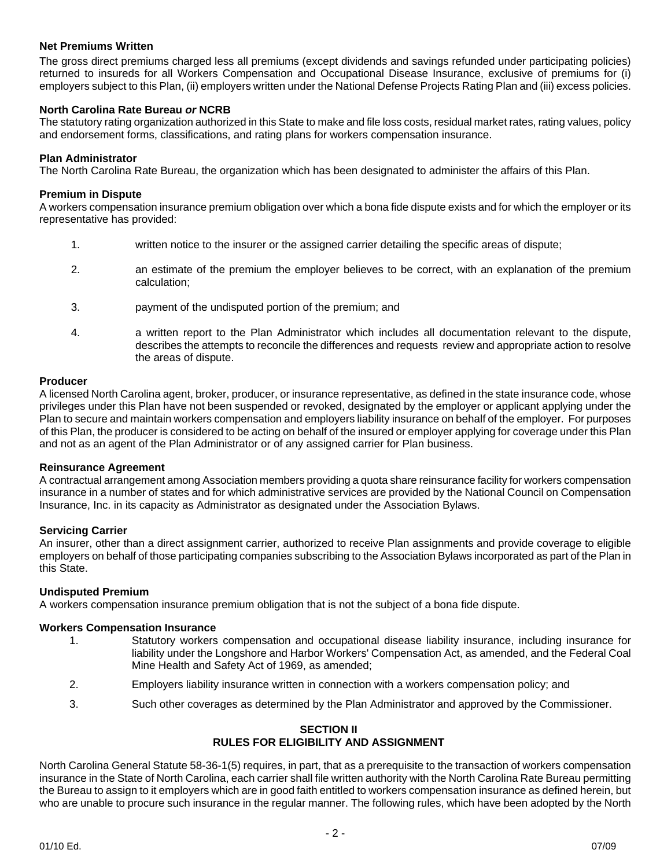### **Net Premiums Written**

The gross direct premiums charged less all premiums (except dividends and savings refunded under participating policies) returned to insureds for all Workers Compensation and Occupational Disease Insurance, exclusive of premiums for (i) employers subject to this Plan, (ii) employers written under the National Defense Projects Rating Plan and (iii) excess policies.

### **North Carolina Rate Bureau** *or* **NCRB**

The statutory rating organization authorized in this State to make and file loss costs, residual market rates, rating values, policy and endorsement forms, classifications, and rating plans for workers compensation insurance.

#### **Plan Administrator**

The North Carolina Rate Bureau, the organization which has been designated to administer the affairs of this Plan.

#### **Premium in Dispute**

A workers compensation insurance premium obligation over which a bona fide dispute exists and for which the employer or its representative has provided:

- 1. written notice to the insurer or the assigned carrier detailing the specific areas of dispute;
- 2. an estimate of the premium the employer believes to be correct, with an explanation of the premium calculation;
- 3. payment of the undisputed portion of the premium; and
- 4. a written report to the Plan Administrator which includes all documentation relevant to the dispute, describes the attempts to reconcile the differences and requests review and appropriate action to resolve the areas of dispute.

#### **Producer**

A licensed North Carolina agent, broker, producer, or insurance representative, as defined in the state insurance code, whose privileges under this Plan have not been suspended or revoked, designated by the employer or applicant applying under the Plan to secure and maintain workers compensation and employers liability insurance on behalf of the employer. For purposes of this Plan, the producer is considered to be acting on behalf of the insured or employer applying for coverage under this Plan and not as an agent of the Plan Administrator or of any assigned carrier for Plan business.

#### **Reinsurance Agreement**

A contractual arrangement among Association members providing a quota share reinsurance facility for workers compensation insurance in a number of states and for which administrative services are provided by the National Council on Compensation Insurance, Inc. in its capacity as Administrator as designated under the Association Bylaws.

### **Servicing Carrier**

An insurer, other than a direct assignment carrier, authorized to receive Plan assignments and provide coverage to eligible employers on behalf of those participating companies subscribing to the Association Bylaws incorporated as part of the Plan in this State.

#### **Undisputed Premium**

A workers compensation insurance premium obligation that is not the subject of a bona fide dispute.

#### **Workers Compensation Insurance**

- 1. Statutory workers compensation and occupational disease liability insurance, including insurance for liability under the Longshore and Harbor Workers' Compensation Act, as amended, and the Federal Coal Mine Health and Safety Act of 1969, as amended;
- 2. Employers liability insurance written in connection with a workers compensation policy; and
- 3. Such other coverages as determined by the Plan Administrator and approved by the Commissioner.

### **SECTION II RULES FOR ELIGIBILITY AND ASSIGNMENT**

North Carolina General Statute 58-36-1(5) requires, in part, that as a prerequisite to the transaction of workers compensation insurance in the State of North Carolina, each carrier shall file written authority with the North Carolina Rate Bureau permitting the Bureau to assign to it employers which are in good faith entitled to workers compensation insurance as defined herein, but who are unable to procure such insurance in the regular manner. The following rules, which have been adopted by the North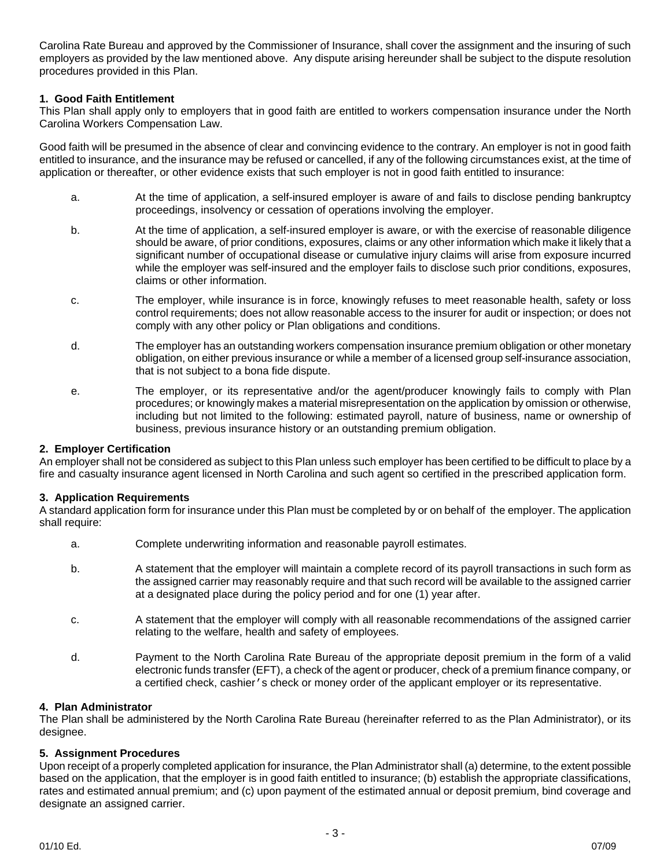Carolina Rate Bureau and approved by the Commissioner of Insurance, shall cover the assignment and the insuring of such employers as provided by the law mentioned above. Any dispute arising hereunder shall be subject to the dispute resolution procedures provided in this Plan.

### **1. Good Faith Entitlement**

This Plan shall apply only to employers that in good faith are entitled to workers compensation insurance under the North Carolina Workers Compensation Law.

Good faith will be presumed in the absence of clear and convincing evidence to the contrary. An employer is not in good faith entitled to insurance, and the insurance may be refused or cancelled, if any of the following circumstances exist, at the time of application or thereafter, or other evidence exists that such employer is not in good faith entitled to insurance:

- a. At the time of application, a self-insured employer is aware of and fails to disclose pending bankruptcy proceedings, insolvency or cessation of operations involving the employer.
- b. At the time of application, a self-insured employer is aware, or with the exercise of reasonable diligence should be aware, of prior conditions, exposures, claims or any other information which make it likely that a significant number of occupational disease or cumulative injury claims will arise from exposure incurred while the employer was self-insured and the employer fails to disclose such prior conditions, exposures, claims or other information.
- c. The employer, while insurance is in force, knowingly refuses to meet reasonable health, safety or loss control requirements; does not allow reasonable access to the insurer for audit or inspection; or does not comply with any other policy or Plan obligations and conditions.
- d. The employer has an outstanding workers compensation insurance premium obligation or other monetary obligation, on either previous insurance or while a member of a licensed group self-insurance association, that is not subject to a bona fide dispute.
- e. The employer, or its representative and/or the agent/producer knowingly fails to comply with Plan procedures; or knowingly makes a material misrepresentation on the application by omission or otherwise, including but not limited to the following: estimated payroll, nature of business, name or ownership of business, previous insurance history or an outstanding premium obligation.

#### **2. Employer Certification**

An employer shall not be considered as subject to this Plan unless such employer has been certified to be difficult to place by a fire and casualty insurance agent licensed in North Carolina and such agent so certified in the prescribed application form.

#### **3. Application Requirements**

A standard application form for insurance under this Plan must be completed by or on behalf of the employer. The application shall require:

- a. Complete underwriting information and reasonable payroll estimates.
- b. A statement that the employer will maintain a complete record of its payroll transactions in such form as the assigned carrier may reasonably require and that such record will be available to the assigned carrier at a designated place during the policy period and for one (1) year after.
- c. A statement that the employer will comply with all reasonable recommendations of the assigned carrier relating to the welfare, health and safety of employees.
- d. Payment to the North Carolina Rate Bureau of the appropriate deposit premium in the form of a valid electronic funds transfer (EFT), a check of the agent or producer, check of a premium finance company, or a certified check, cashier's check or money order of the applicant employer or its representative.

#### **4. Plan Administrator**

The Plan shall be administered by the North Carolina Rate Bureau (hereinafter referred to as the Plan Administrator), or its designee.

#### **5. Assignment Procedures**

Upon receipt of a properly completed application for insurance, the Plan Administrator shall (a) determine, to the extent possible based on the application, that the employer is in good faith entitled to insurance; (b) establish the appropriate classifications, rates and estimated annual premium; and (c) upon payment of the estimated annual or deposit premium, bind coverage and designate an assigned carrier.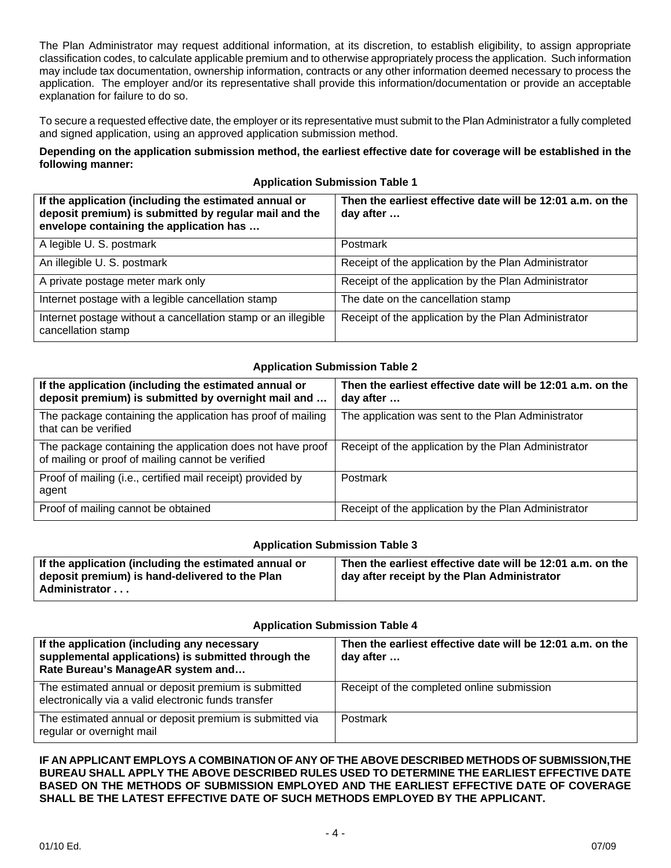The Plan Administrator may request additional information, at its discretion, to establish eligibility, to assign appropriate classification codes, to calculate applicable premium and to otherwise appropriately process the application. Such information may include tax documentation, ownership information, contracts or any other information deemed necessary to process the application. The employer and/or its representative shall provide this information/documentation or provide an acceptable explanation for failure to do so.

To secure a requested effective date, the employer or its representative must submit to the Plan Administrator a fully completed and signed application, using an approved application submission method.

### **Depending on the application submission method, the earliest effective date for coverage will be established in the following manner:**

|  |  |  | <b>Application Submission Table 1</b> |  |  |
|--|--|--|---------------------------------------|--|--|
|  |  |  |                                       |  |  |

| If the application (including the estimated annual or<br>deposit premium) is submitted by regular mail and the<br>envelope containing the application has | Then the earliest effective date will be 12:01 a.m. on the<br>day after |
|-----------------------------------------------------------------------------------------------------------------------------------------------------------|-------------------------------------------------------------------------|
| A legible U. S. postmark                                                                                                                                  | Postmark                                                                |
| An illegible U. S. postmark                                                                                                                               | Receipt of the application by the Plan Administrator                    |
| A private postage meter mark only                                                                                                                         | Receipt of the application by the Plan Administrator                    |
| Internet postage with a legible cancellation stamp                                                                                                        | The date on the cancellation stamp                                      |
| Internet postage without a cancellation stamp or an illegible<br>cancellation stamp                                                                       | Receipt of the application by the Plan Administrator                    |

### **Application Submission Table 2**

| If the application (including the estimated annual or<br>deposit premium) is submitted by overnight mail and    | Then the earliest effective date will be 12:01 a.m. on the<br>day after |
|-----------------------------------------------------------------------------------------------------------------|-------------------------------------------------------------------------|
| The package containing the application has proof of mailing<br>that can be verified                             | The application was sent to the Plan Administrator                      |
| The package containing the application does not have proof<br>of mailing or proof of mailing cannot be verified | Receipt of the application by the Plan Administrator                    |
| Proof of mailing (i.e., certified mail receipt) provided by<br>agent                                            | Postmark                                                                |
| Proof of mailing cannot be obtained                                                                             | Receipt of the application by the Plan Administrator                    |

#### **Application Submission Table 3**

| Then the earliest effective date will be 12:01 a.m. on the |
|------------------------------------------------------------|
| day after receipt by the Plan Administrator                |
|                                                            |
|                                                            |

#### **Application Submission Table 4**

| If the application (including any necessary<br>supplemental applications) is submitted through the<br>Rate Bureau's ManageAR system and | Then the earliest effective date will be 12:01 a.m. on the<br>day after |
|-----------------------------------------------------------------------------------------------------------------------------------------|-------------------------------------------------------------------------|
| The estimated annual or deposit premium is submitted<br>electronically via a valid electronic funds transfer                            | Receipt of the completed online submission                              |
| The estimated annual or deposit premium is submitted via<br>regular or overnight mail                                                   | Postmark                                                                |

**IF AN APPLICANT EMPLOYS A COMBINATION OF ANY OF THE ABOVE DESCRIBED METHODS OF SUBMISSION,THE BUREAU SHALL APPLY THE ABOVE DESCRIBED RULES USED TO DETERMINE THE EARLIEST EFFECTIVE DATE BASED ON THE METHODS OF SUBMISSION EMPLOYED AND THE EARLIEST EFFECTIVE DATE OF COVERAGE SHALL BE THE LATEST EFFECTIVE DATE OF SUCH METHODS EMPLOYED BY THE APPLICANT.**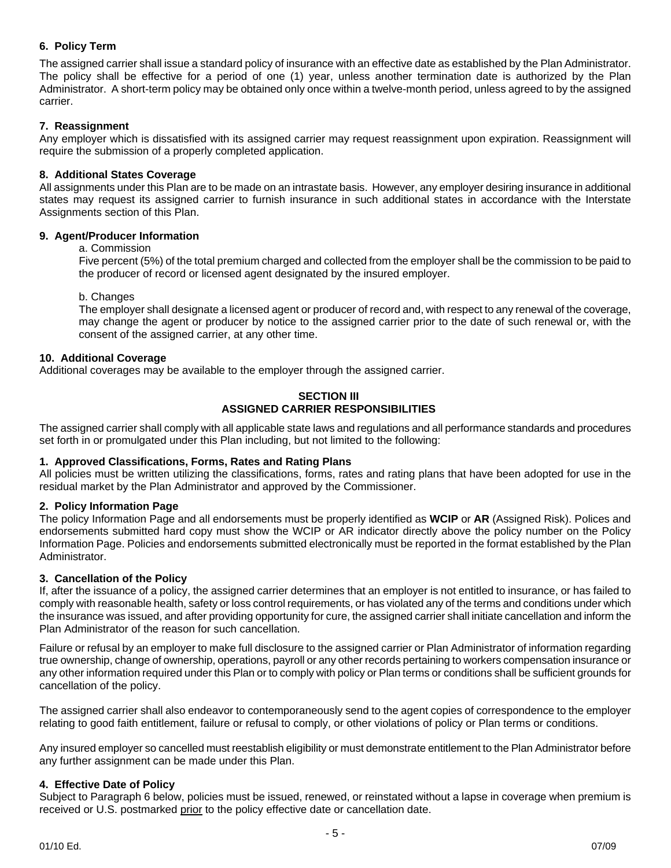# **6. Policy Term**

The assigned carrier shall issue a standard policy of insurance with an effective date as established by the Plan Administrator. The policy shall be effective for a period of one (1) year, unless another termination date is authorized by the Plan Administrator. A short-term policy may be obtained only once within a twelve-month period, unless agreed to by the assigned carrier.

## **7. Reassignment**

Any employer which is dissatisfied with its assigned carrier may request reassignment upon expiration. Reassignment will require the submission of a properly completed application.

### **8. Additional States Coverage**

All assignments under this Plan are to be made on an intrastate basis. However, any employer desiring insurance in additional states may request its assigned carrier to furnish insurance in such additional states in accordance with the Interstate Assignments section of this Plan.

### **9. Agent/Producer Information**

a. Commission

Five percent (5%) of the total premium charged and collected from the employer shall be the commission to be paid to the producer of record or licensed agent designated by the insured employer.

b. Changes

The employer shall designate a licensed agent or producer of record and, with respect to any renewal of the coverage, may change the agent or producer by notice to the assigned carrier prior to the date of such renewal or, with the consent of the assigned carrier, at any other time.

### **10. Additional Coverage**

Additional coverages may be available to the employer through the assigned carrier.

#### **SECTION III ASSIGNED CARRIER RESPONSIBILITIES**

The assigned carrier shall comply with all applicable state laws and regulations and all performance standards and procedures set forth in or promulgated under this Plan including, but not limited to the following:

### **1. Approved Classifications, Forms, Rates and Rating Plans**

All policies must be written utilizing the classifications, forms, rates and rating plans that have been adopted for use in the residual market by the Plan Administrator and approved by the Commissioner.

### **2. Policy Information Page**

The policy Information Page and all endorsements must be properly identified as **WCIP** or **AR** (Assigned Risk). Polices and endorsements submitted hard copy must show the WCIP or AR indicator directly above the policy number on the Policy Information Page. Policies and endorsements submitted electronically must be reported in the format established by the Plan Administrator.

#### **3. Cancellation of the Policy**

If, after the issuance of a policy, the assigned carrier determines that an employer is not entitled to insurance, or has failed to comply with reasonable health, safety or loss control requirements, or has violated any of the terms and conditions under which the insurance was issued, and after providing opportunity for cure, the assigned carrier shall initiate cancellation and inform the Plan Administrator of the reason for such cancellation.

Failure or refusal by an employer to make full disclosure to the assigned carrier or Plan Administrator of information regarding true ownership, change of ownership, operations, payroll or any other records pertaining to workers compensation insurance or any other information required under this Plan or to comply with policy or Plan terms or conditions shall be sufficient grounds for cancellation of the policy.

The assigned carrier shall also endeavor to contemporaneously send to the agent copies of correspondence to the employer relating to good faith entitlement, failure or refusal to comply, or other violations of policy or Plan terms or conditions.

Any insured employer so cancelled must reestablish eligibility or must demonstrate entitlement to the Plan Administrator before any further assignment can be made under this Plan.

### **4. Effective Date of Policy**

Subject to Paragraph 6 below, policies must be issued, renewed, or reinstated without a lapse in coverage when premium is received or U.S. postmarked prior to the policy effective date or cancellation date.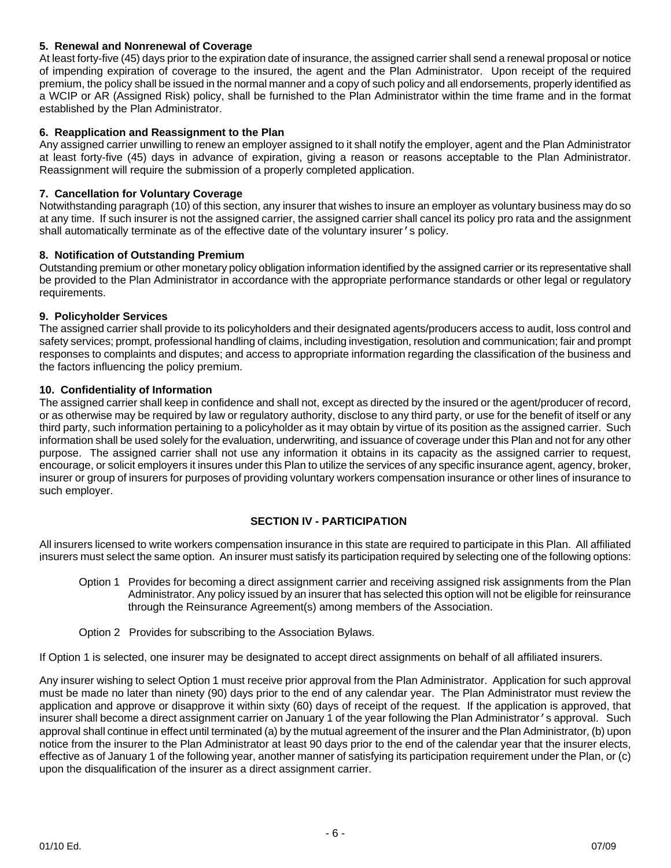## **5. Renewal and Nonrenewal of Coverage**

At least forty-five (45) days prior to the expiration date of insurance, the assigned carrier shall send a renewal proposal or notice of impending expiration of coverage to the insured, the agent and the Plan Administrator. Upon receipt of the required premium, the policy shall be issued in the normal manner and a copy of such policy and all endorsements, properly identified as a WCIP or AR (Assigned Risk) policy, shall be furnished to the Plan Administrator within the time frame and in the format established by the Plan Administrator.

### **6. Reapplication and Reassignment to the Plan**

Any assigned carrier unwilling to renew an employer assigned to it shall notify the employer, agent and the Plan Administrator at least forty-five (45) days in advance of expiration, giving a reason or reasons acceptable to the Plan Administrator. Reassignment will require the submission of a properly completed application.

### **7. Cancellation for Voluntary Coverage**

Notwithstanding paragraph (10) of this section, any insurer that wishes to insure an employer as voluntary business may do so at any time. If such insurer is not the assigned carrier, the assigned carrier shall cancel its policy pro rata and the assignment shall automatically terminate as of the effective date of the voluntary insurer's policy.

### **8. Notification of Outstanding Premium**

Outstanding premium or other monetary policy obligation information identified by the assigned carrier or its representative shall be provided to the Plan Administrator in accordance with the appropriate performance standards or other legal or regulatory requirements.

### **9. Policyholder Services**

The assigned carrier shall provide to its policyholders and their designated agents/producers access to audit, loss control and safety services; prompt, professional handling of claims, including investigation, resolution and communication; fair and prompt responses to complaints and disputes; and access to appropriate information regarding the classification of the business and the factors influencing the policy premium.

### **10. Confidentiality of Information**

The assigned carrier shall keep in confidence and shall not, except as directed by the insured or the agent/producer of record, or as otherwise may be required by law or regulatory authority, disclose to any third party, or use for the benefit of itself or any third party, such information pertaining to a policyholder as it may obtain by virtue of its position as the assigned carrier. Such information shall be used solely for the evaluation, underwriting, and issuance of coverage under this Plan and not for any other purpose. The assigned carrier shall not use any information it obtains in its capacity as the assigned carrier to request, encourage, or solicit employers it insures under this Plan to utilize the services of any specific insurance agent, agency, broker, insurer or group of insurers for purposes of providing voluntary workers compensation insurance or other lines of insurance to such employer.

### **SECTION IV - PARTICIPATION**

All insurers licensed to write workers compensation insurance in this state are required to participate in this Plan. All affiliated insurers must select the same option. An insurer must satisfy its participation required by selecting one of the following options:

- Option 1 Provides for becoming a direct assignment carrier and receiving assigned risk assignments from the Plan Administrator. Any policy issued by an insurer that has selected this option will not be eligible for reinsurance through the Reinsurance Agreement(s) among members of the Association.
- Option 2 Provides for subscribing to the Association Bylaws.

If Option 1 is selected, one insurer may be designated to accept direct assignments on behalf of all affiliated insurers.

Any insurer wishing to select Option 1 must receive prior approval from the Plan Administrator. Application for such approval must be made no later than ninety (90) days prior to the end of any calendar year. The Plan Administrator must review the application and approve or disapprove it within sixty (60) days of receipt of the request. If the application is approved, that insurer shall become a direct assignment carrier on January 1 of the year following the Plan Administrator's approval. Such approval shall continue in effect until terminated (a) by the mutual agreement of the insurer and the Plan Administrator, (b) upon notice from the insurer to the Plan Administrator at least 90 days prior to the end of the calendar year that the insurer elects, effective as of January 1 of the following year, another manner of satisfying its participation requirement under the Plan, or (c) upon the disqualification of the insurer as a direct assignment carrier.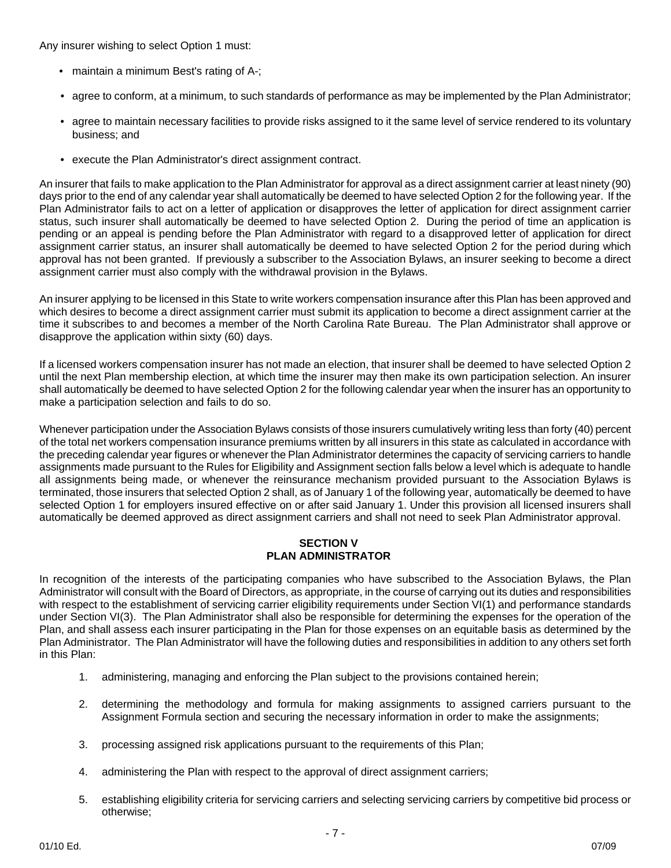Any insurer wishing to select Option 1 must:

- maintain a minimum Best's rating of A-;
- agree to conform, at a minimum, to such standards of performance as may be implemented by the Plan Administrator;
- agree to maintain necessary facilities to provide risks assigned to it the same level of service rendered to its voluntary business; and
- execute the Plan Administrator's direct assignment contract.

An insurer that fails to make application to the Plan Administrator for approval as a direct assignment carrier at least ninety (90) days prior to the end of any calendar year shall automatically be deemed to have selected Option 2 for the following year. If the Plan Administrator fails to act on a letter of application or disapproves the letter of application for direct assignment carrier status, such insurer shall automatically be deemed to have selected Option 2. During the period of time an application is pending or an appeal is pending before the Plan Administrator with regard to a disapproved letter of application for direct assignment carrier status, an insurer shall automatically be deemed to have selected Option 2 for the period during which approval has not been granted. If previously a subscriber to the Association Bylaws, an insurer seeking to become a direct assignment carrier must also comply with the withdrawal provision in the Bylaws.

An insurer applying to be licensed in this State to write workers compensation insurance after this Plan has been approved and which desires to become a direct assignment carrier must submit its application to become a direct assignment carrier at the time it subscribes to and becomes a member of the North Carolina Rate Bureau. The Plan Administrator shall approve or disapprove the application within sixty (60) days.

If a licensed workers compensation insurer has not made an election, that insurer shall be deemed to have selected Option 2 until the next Plan membership election, at which time the insurer may then make its own participation selection. An insurer shall automatically be deemed to have selected Option 2 for the following calendar year when the insurer has an opportunity to make a participation selection and fails to do so.

Whenever participation under the Association Bylaws consists of those insurers cumulatively writing less than forty (40) percent of the total net workers compensation insurance premiums written by all insurers in this state as calculated in accordance with the preceding calendar year figures or whenever the Plan Administrator determines the capacity of servicing carriers to handle assignments made pursuant to the Rules for Eligibility and Assignment section falls below a level which is adequate to handle all assignments being made, or whenever the reinsurance mechanism provided pursuant to the Association Bylaws is terminated, those insurers that selected Option 2 shall, as of January 1 of the following year, automatically be deemed to have selected Option 1 for employers insured effective on or after said January 1. Under this provision all licensed insurers shall automatically be deemed approved as direct assignment carriers and shall not need to seek Plan Administrator approval.

#### **SECTION V PLAN ADMINISTRATOR**

In recognition of the interests of the participating companies who have subscribed to the Association Bylaws, the Plan Administrator will consult with the Board of Directors, as appropriate, in the course of carrying out its duties and responsibilities with respect to the establishment of servicing carrier eligibility requirements under Section VI(1) and performance standards under Section VI(3). The Plan Administrator shall also be responsible for determining the expenses for the operation of the Plan, and shall assess each insurer participating in the Plan for those expenses on an equitable basis as determined by the Plan Administrator. The Plan Administrator will have the following duties and responsibilities in addition to any others set forth in this Plan:

- 1. administering, managing and enforcing the Plan subject to the provisions contained herein;
- 2. determining the methodology and formula for making assignments to assigned carriers pursuant to the Assignment Formula section and securing the necessary information in order to make the assignments;
- 3. processing assigned risk applications pursuant to the requirements of this Plan;
- 4. administering the Plan with respect to the approval of direct assignment carriers;
- 5. establishing eligibility criteria for servicing carriers and selecting servicing carriers by competitive bid process or otherwise;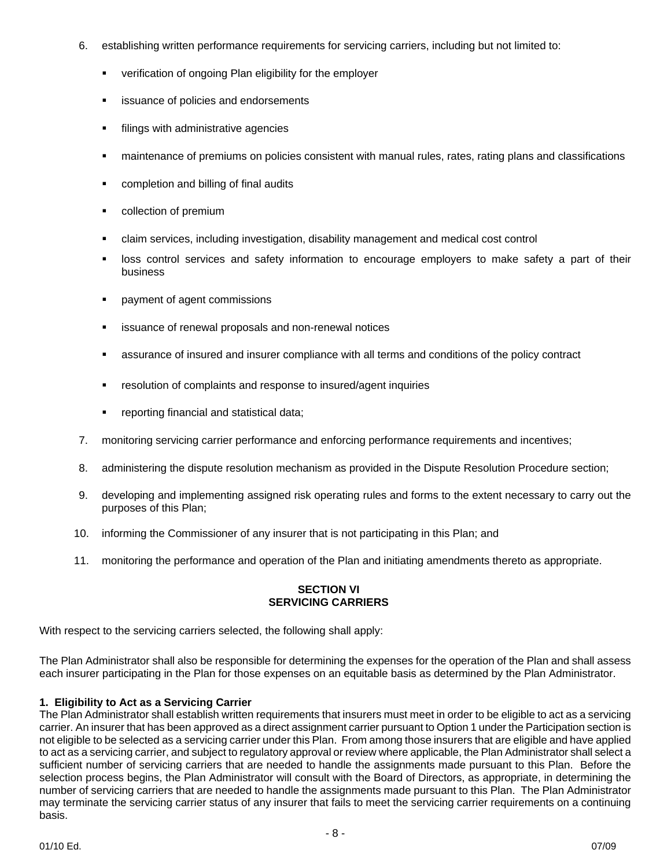- 6. establishing written performance requirements for servicing carriers, including but not limited to:
	- **•** verification of ongoing Plan eligibility for the employer
	- **EXECUTE:** issuance of policies and endorsements
	- **filings with administrative agencies**
	- maintenance of premiums on policies consistent with manual rules, rates, rating plans and classifications
	- **•** completion and billing of final audits
	- collection of premium
	- claim services, including investigation, disability management and medical cost control
	- **In** loss control services and safety information to encourage employers to make safety a part of their business
	- **•** payment of agent commissions
	- issuance of renewal proposals and non-renewal notices
	- assurance of insured and insurer compliance with all terms and conditions of the policy contract
	- resolution of complaints and response to insured/agent inquiries
	- **•** reporting financial and statistical data;
- 7. monitoring servicing carrier performance and enforcing performance requirements and incentives;
- 8. administering the dispute resolution mechanism as provided in the Dispute Resolution Procedure section;
- 9. developing and implementing assigned risk operating rules and forms to the extent necessary to carry out the purposes of this Plan;
- 10. informing the Commissioner of any insurer that is not participating in this Plan; and
- 11. monitoring the performance and operation of the Plan and initiating amendments thereto as appropriate.

# **SECTION VI SERVICING CARRIERS**

With respect to the servicing carriers selected, the following shall apply:

The Plan Administrator shall also be responsible for determining the expenses for the operation of the Plan and shall assess each insurer participating in the Plan for those expenses on an equitable basis as determined by the Plan Administrator.

### **1. Eligibility to Act as a Servicing Carrier**

The Plan Administrator shall establish written requirements that insurers must meet in order to be eligible to act as a servicing carrier. An insurer that has been approved as a direct assignment carrier pursuant to Option 1 under the Participation section is not eligible to be selected as a servicing carrier under this Plan. From among those insurers that are eligible and have applied to act as a servicing carrier, and subject to regulatory approval or review where applicable, the Plan Administrator shall select a sufficient number of servicing carriers that are needed to handle the assignments made pursuant to this Plan. Before the selection process begins, the Plan Administrator will consult with the Board of Directors, as appropriate, in determining the number of servicing carriers that are needed to handle the assignments made pursuant to this Plan. The Plan Administrator may terminate the servicing carrier status of any insurer that fails to meet the servicing carrier requirements on a continuing basis.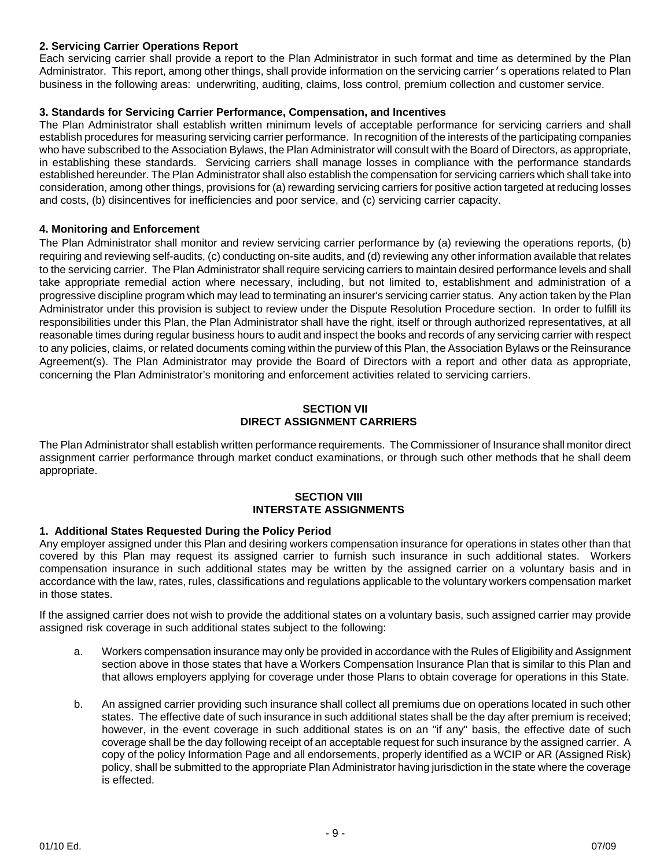### **2. Servicing Carrier Operations Report**

Each servicing carrier shall provide a report to the Plan Administrator in such format and time as determined by the Plan Administrator. This report, among other things, shall provide information on the servicing carrier's operations related to Plan business in the following areas: underwriting, auditing, claims, loss control, premium collection and customer service.

### **3. Standards for Servicing Carrier Performance, Compensation, and Incentives**

The Plan Administrator shall establish written minimum levels of acceptable performance for servicing carriers and shall establish procedures for measuring servicing carrier performance. In recognition of the interests of the participating companies who have subscribed to the Association Bylaws, the Plan Administrator will consult with the Board of Directors, as appropriate, in establishing these standards. Servicing carriers shall manage losses in compliance with the performance standards established hereunder. The Plan Administrator shall also establish the compensation for servicing carriers which shall take into consideration, among other things, provisions for (a) rewarding servicing carriers for positive action targeted at reducing losses and costs, (b) disincentives for inefficiencies and poor service, and (c) servicing carrier capacity.

### **4. Monitoring and Enforcement**

The Plan Administrator shall monitor and review servicing carrier performance by (a) reviewing the operations reports, (b) requiring and reviewing self-audits, (c) conducting on-site audits, and (d) reviewing any other information available that relates to the servicing carrier. The Plan Administrator shall require servicing carriers to maintain desired performance levels and shall take appropriate remedial action where necessary, including, but not limited to, establishment and administration of a progressive discipline program which may lead to terminating an insurer's servicing carrier status. Any action taken by the Plan Administrator under this provision is subject to review under the Dispute Resolution Procedure section. In order to fulfill its responsibilities under this Plan, the Plan Administrator shall have the right, itself or through authorized representatives, at all reasonable times during regular business hours to audit and inspect the books and records of any servicing carrier with respect to any policies, claims, or related documents coming within the purview of this Plan, the Association Bylaws or the Reinsurance Agreement(s). The Plan Administrator may provide the Board of Directors with a report and other data as appropriate, concerning the Plan Administrator's monitoring and enforcement activities related to servicing carriers.

#### **SECTION VII DIRECT ASSIGNMENT CARRIERS**

The Plan Administrator shall establish written performance requirements. The Commissioner of Insurance shall monitor direct assignment carrier performance through market conduct examinations, or through such other methods that he shall deem appropriate.

#### **SECTION VIII INTERSTATE ASSIGNMENTS**

### **1. Additional States Requested During the Policy Period**

Any employer assigned under this Plan and desiring workers compensation insurance for operations in states other than that covered by this Plan may request its assigned carrier to furnish such insurance in such additional states. Workers compensation insurance in such additional states may be written by the assigned carrier on a voluntary basis and in accordance with the law, rates, rules, classifications and regulations applicable to the voluntary workers compensation market in those states.

If the assigned carrier does not wish to provide the additional states on a voluntary basis, such assigned carrier may provide assigned risk coverage in such additional states subject to the following:

- a. Workers compensation insurance may only be provided in accordance with the Rules of Eligibility and Assignment section above in those states that have a Workers Compensation Insurance Plan that is similar to this Plan and that allows employers applying for coverage under those Plans to obtain coverage for operations in this State.
- b. An assigned carrier providing such insurance shall collect all premiums due on operations located in such other states. The effective date of such insurance in such additional states shall be the day after premium is received; however, in the event coverage in such additional states is on an "if any" basis, the effective date of such coverage shall be the day following receipt of an acceptable request for such insurance by the assigned carrier. A copy of the policy Information Page and all endorsements, properly identified as a WCIP or AR (Assigned Risk) policy, shall be submitted to the appropriate Plan Administrator having jurisdiction in the state where the coverage is effected.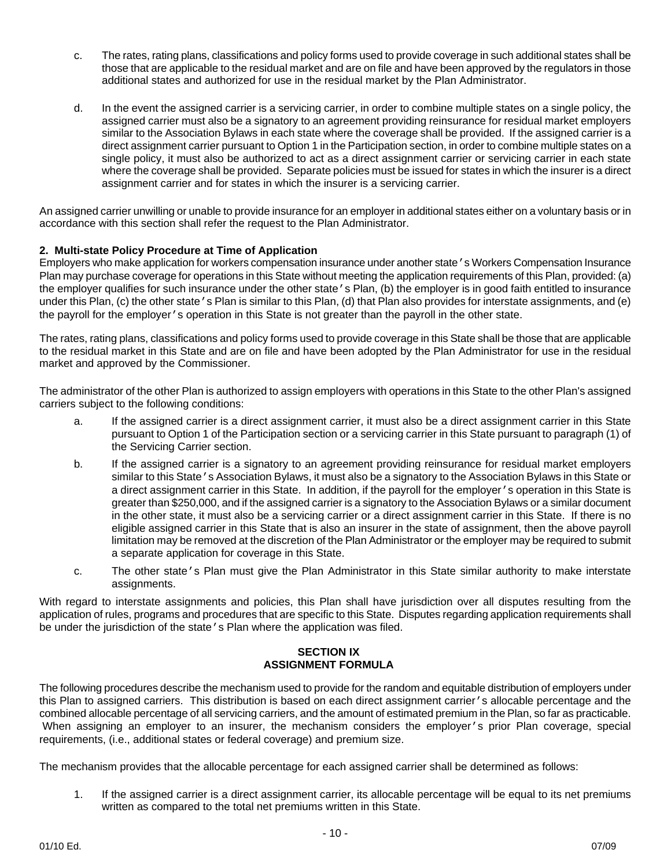- c. The rates, rating plans, classifications and policy forms used to provide coverage in such additional states shall be those that are applicable to the residual market and are on file and have been approved by the regulators in those additional states and authorized for use in the residual market by the Plan Administrator.
- d. In the event the assigned carrier is a servicing carrier, in order to combine multiple states on a single policy, the assigned carrier must also be a signatory to an agreement providing reinsurance for residual market employers similar to the Association Bylaws in each state where the coverage shall be provided. If the assigned carrier is a direct assignment carrier pursuant to Option 1 in the Participation section, in order to combine multiple states on a single policy, it must also be authorized to act as a direct assignment carrier or servicing carrier in each state where the coverage shall be provided. Separate policies must be issued for states in which the insurer is a direct assignment carrier and for states in which the insurer is a servicing carrier.

An assigned carrier unwilling or unable to provide insurance for an employer in additional states either on a voluntary basis or in accordance with this section shall refer the request to the Plan Administrator.

### **2. Multi-state Policy Procedure at Time of Application**

Employers who make application for workers compensation insurance under another state's Workers Compensation Insurance Plan may purchase coverage for operations in this State without meeting the application requirements of this Plan, provided: (a) the employer qualifies for such insurance under the other state's Plan, (b) the employer is in good faith entitled to insurance under this Plan, (c) the other state's Plan is similar to this Plan, (d) that Plan also provides for interstate assignments, and (e) the payroll for the employer's operation in this State is not greater than the payroll in the other state.

The rates, rating plans, classifications and policy forms used to provide coverage in this State shall be those that are applicable to the residual market in this State and are on file and have been adopted by the Plan Administrator for use in the residual market and approved by the Commissioner.

The administrator of the other Plan is authorized to assign employers with operations in this State to the other Plan's assigned carriers subject to the following conditions:

- a. If the assigned carrier is a direct assignment carrier, it must also be a direct assignment carrier in this State pursuant to Option 1 of the Participation section or a servicing carrier in this State pursuant to paragraph (1) of the Servicing Carrier section.
- b. If the assigned carrier is a signatory to an agreement providing reinsurance for residual market employers similar to this State's Association Bylaws, it must also be a signatory to the Association Bylaws in this State or a direct assignment carrier in this State. In addition, if the payroll for the employer's operation in this State is greater than \$250,000, and if the assigned carrier is a signatory to the Association Bylaws or a similar document in the other state, it must also be a servicing carrier or a direct assignment carrier in this State. If there is no eligible assigned carrier in this State that is also an insurer in the state of assignment, then the above payroll limitation may be removed at the discretion of the Plan Administrator or the employer may be required to submit a separate application for coverage in this State.
- c. The other state's Plan must give the Plan Administrator in this State similar authority to make interstate assignments.

With regard to interstate assignments and policies, this Plan shall have jurisdiction over all disputes resulting from the application of rules, programs and procedures that are specific to this State. Disputes regarding application requirements shall be under the jurisdiction of the state's Plan where the application was filed.

### **SECTION IX ASSIGNMENT FORMULA**

The following procedures describe the mechanism used to provide for the random and equitable distribution of employers under this Plan to assigned carriers. This distribution is based on each direct assignment carrier's allocable percentage and the combined allocable percentage of all servicing carriers, and the amount of estimated premium in the Plan, so far as practicable. When assigning an employer to an insurer, the mechanism considers the employer's prior Plan coverage, special requirements, (i.e., additional states or federal coverage) and premium size.

The mechanism provides that the allocable percentage for each assigned carrier shall be determined as follows:

1. If the assigned carrier is a direct assignment carrier, its allocable percentage will be equal to its net premiums written as compared to the total net premiums written in this State.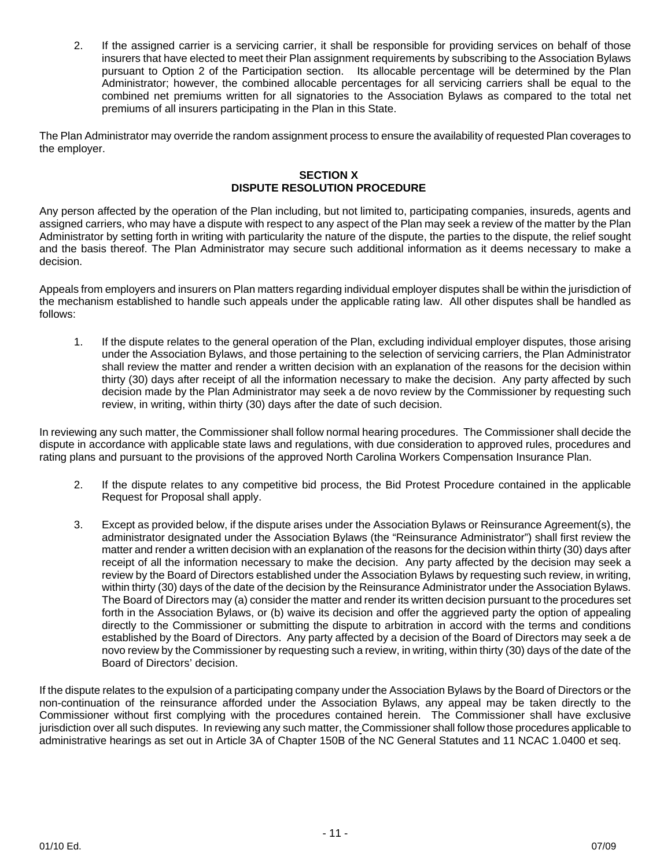2. If the assigned carrier is a servicing carrier, it shall be responsible for providing services on behalf of those insurers that have elected to meet their Plan assignment requirements by subscribing to the Association Bylaws pursuant to Option 2 of the Participation section. Its allocable percentage will be determined by the Plan Administrator; however, the combined allocable percentages for all servicing carriers shall be equal to the combined net premiums written for all signatories to the Association Bylaws as compared to the total net premiums of all insurers participating in the Plan in this State.

The Plan Administrator may override the random assignment process to ensure the availability of requested Plan coverages to the employer.

### **SECTION X DISPUTE RESOLUTION PROCEDURE**

Any person affected by the operation of the Plan including, but not limited to, participating companies, insureds, agents and assigned carriers, who may have a dispute with respect to any aspect of the Plan may seek a review of the matter by the Plan Administrator by setting forth in writing with particularity the nature of the dispute, the parties to the dispute, the relief sought and the basis thereof. The Plan Administrator may secure such additional information as it deems necessary to make a decision.

Appeals from employers and insurers on Plan matters regarding individual employer disputes shall be within the jurisdiction of the mechanism established to handle such appeals under the applicable rating law. All other disputes shall be handled as follows:

1. If the dispute relates to the general operation of the Plan, excluding individual employer disputes, those arising under the Association Bylaws, and those pertaining to the selection of servicing carriers, the Plan Administrator shall review the matter and render a written decision with an explanation of the reasons for the decision within thirty (30) days after receipt of all the information necessary to make the decision. Any party affected by such decision made by the Plan Administrator may seek a de novo review by the Commissioner by requesting such review, in writing, within thirty (30) days after the date of such decision.

In reviewing any such matter, the Commissioner shall follow normal hearing procedures. The Commissioner shall decide the dispute in accordance with applicable state laws and regulations, with due consideration to approved rules, procedures and rating plans and pursuant to the provisions of the approved North Carolina Workers Compensation Insurance Plan.

- 2. If the dispute relates to any competitive bid process, the Bid Protest Procedure contained in the applicable Request for Proposal shall apply.
- 3. Except as provided below, if the dispute arises under the Association Bylaws or Reinsurance Agreement(s), the administrator designated under the Association Bylaws (the "Reinsurance Administrator") shall first review the matter and render a written decision with an explanation of the reasons for the decision within thirty (30) days after receipt of all the information necessary to make the decision. Any party affected by the decision may seek a review by the Board of Directors established under the Association Bylaws by requesting such review, in writing, within thirty (30) days of the date of the decision by the Reinsurance Administrator under the Association Bylaws. The Board of Directors may (a) consider the matter and render its written decision pursuant to the procedures set forth in the Association Bylaws, or (b) waive its decision and offer the aggrieved party the option of appealing directly to the Commissioner or submitting the dispute to arbitration in accord with the terms and conditions established by the Board of Directors. Any party affected by a decision of the Board of Directors may seek a de novo review by the Commissioner by requesting such a review, in writing, within thirty (30) days of the date of the Board of Directors' decision.

If the dispute relates to the expulsion of a participating company under the Association Bylaws by the Board of Directors or the non-continuation of the reinsurance afforded under the Association Bylaws, any appeal may be taken directly to the Commissioner without first complying with the procedures contained herein. The Commissioner shall have exclusive jurisdiction over all such disputes. In reviewing any such matter, the Commissioner shall follow those procedures applicable to administrative hearings as set out in Article 3A of Chapter 150B of the NC General Statutes and 11 NCAC 1.0400 et seq.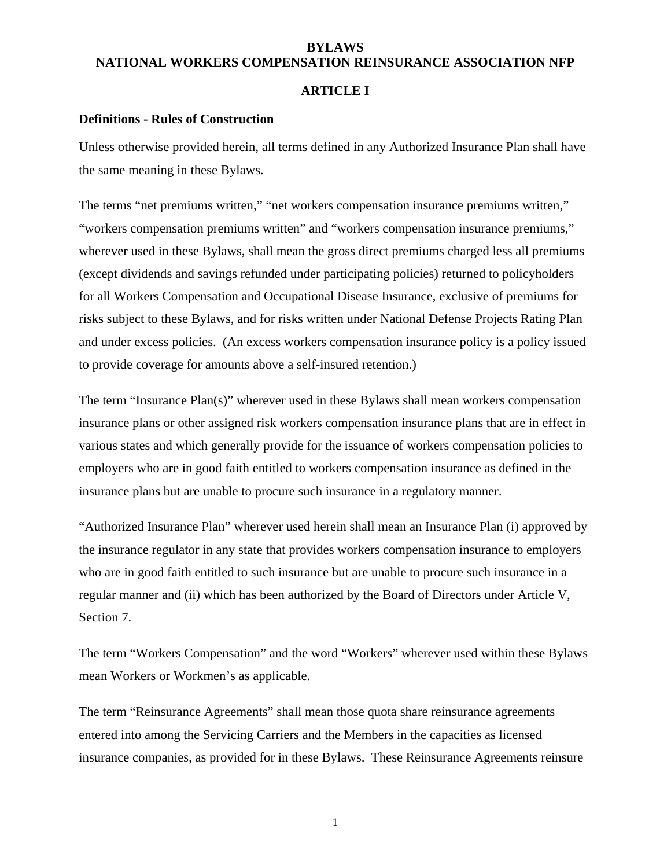# **BYLAWS NATIONAL WORKERS COMPENSATION REINSURANCE ASSOCIATION NFP**

# **ARTICLE I**

### **Definitions - Rules of Construction**

Unless otherwise provided herein, all terms defined in any Authorized Insurance Plan shall have the same meaning in these Bylaws.

The terms "net premiums written," "net workers compensation insurance premiums written," "workers compensation premiums written" and "workers compensation insurance premiums," wherever used in these Bylaws, shall mean the gross direct premiums charged less all premiums (except dividends and savings refunded under participating policies) returned to policyholders for all Workers Compensation and Occupational Disease Insurance, exclusive of premiums for risks subject to these Bylaws, and for risks written under National Defense Projects Rating Plan and under excess policies. (An excess workers compensation insurance policy is a policy issued to provide coverage for amounts above a self-insured retention.)

The term "Insurance Plan(s)" wherever used in these Bylaws shall mean workers compensation insurance plans or other assigned risk workers compensation insurance plans that are in effect in various states and which generally provide for the issuance of workers compensation policies to employers who are in good faith entitled to workers compensation insurance as defined in the insurance plans but are unable to procure such insurance in a regulatory manner.

"Authorized Insurance Plan" wherever used herein shall mean an Insurance Plan (i) approved by the insurance regulator in any state that provides workers compensation insurance to employers who are in good faith entitled to such insurance but are unable to procure such insurance in a regular manner and (ii) which has been authorized by the Board of Directors under Article V, Section 7.

The term "Workers Compensation" and the word "Workers" wherever used within these Bylaws mean Workers or Workmen's as applicable.

The term "Reinsurance Agreements" shall mean those quota share reinsurance agreements entered into among the Servicing Carriers and the Members in the capacities as licensed insurance companies, as provided for in these Bylaws. These Reinsurance Agreements reinsure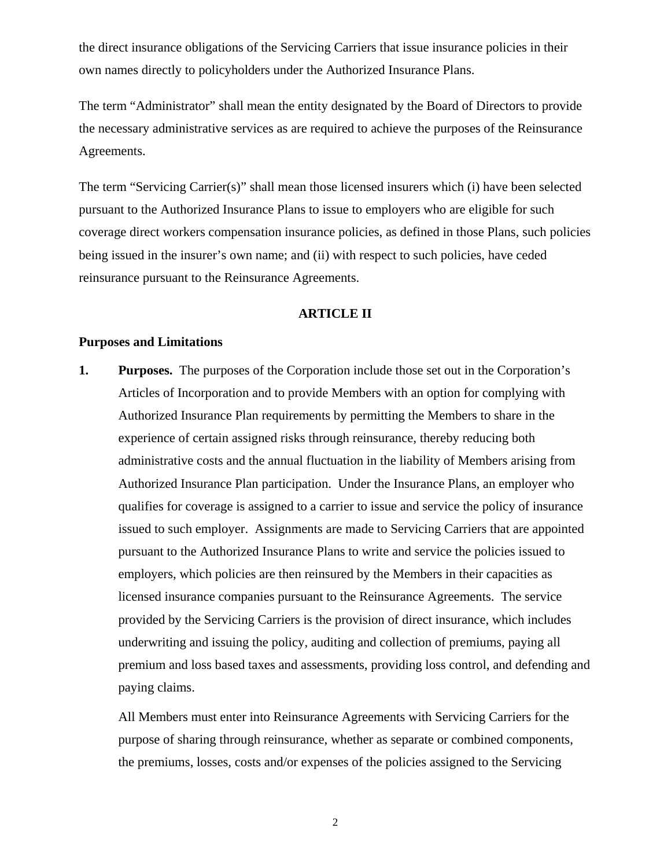the direct insurance obligations of the Servicing Carriers that issue insurance policies in their own names directly to policyholders under the Authorized Insurance Plans.

The term "Administrator" shall mean the entity designated by the Board of Directors to provide the necessary administrative services as are required to achieve the purposes of the Reinsurance Agreements.

The term "Servicing Carrier(s)" shall mean those licensed insurers which (i) have been selected pursuant to the Authorized Insurance Plans to issue to employers who are eligible for such coverage direct workers compensation insurance policies, as defined in those Plans, such policies being issued in the insurer's own name; and (ii) with respect to such policies, have ceded reinsurance pursuant to the Reinsurance Agreements.

# **ARTICLE II**

### **Purposes and Limitations**

**1. Purposes.** The purposes of the Corporation include those set out in the Corporation's Articles of Incorporation and to provide Members with an option for complying with Authorized Insurance Plan requirements by permitting the Members to share in the experience of certain assigned risks through reinsurance, thereby reducing both administrative costs and the annual fluctuation in the liability of Members arising from Authorized Insurance Plan participation. Under the Insurance Plans, an employer who qualifies for coverage is assigned to a carrier to issue and service the policy of insurance issued to such employer. Assignments are made to Servicing Carriers that are appointed pursuant to the Authorized Insurance Plans to write and service the policies issued to employers, which policies are then reinsured by the Members in their capacities as licensed insurance companies pursuant to the Reinsurance Agreements. The service provided by the Servicing Carriers is the provision of direct insurance, which includes underwriting and issuing the policy, auditing and collection of premiums, paying all premium and loss based taxes and assessments, providing loss control, and defending and paying claims.

All Members must enter into Reinsurance Agreements with Servicing Carriers for the purpose of sharing through reinsurance, whether as separate or combined components, the premiums, losses, costs and/or expenses of the policies assigned to the Servicing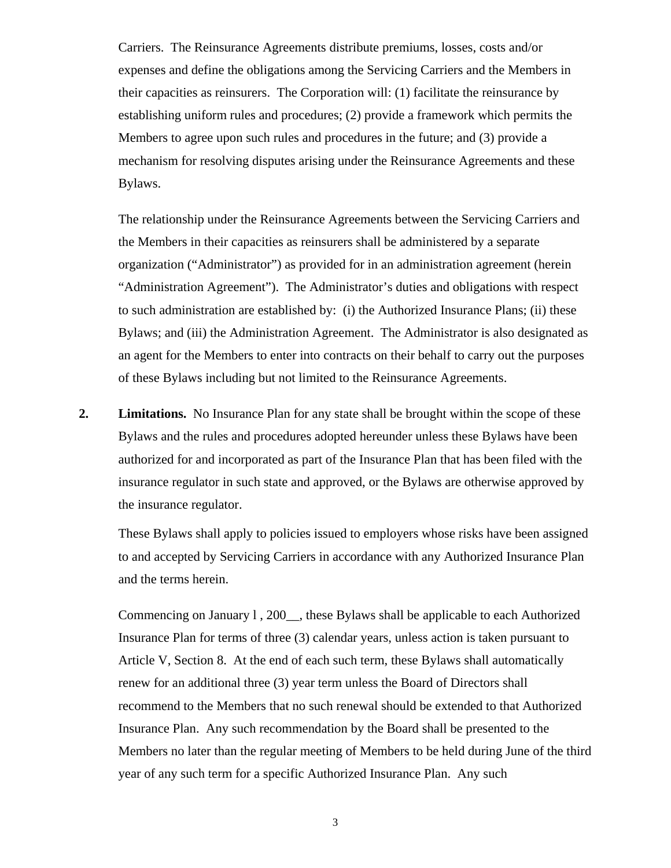Carriers. The Reinsurance Agreements distribute premiums, losses, costs and/or expenses and define the obligations among the Servicing Carriers and the Members in their capacities as reinsurers. The Corporation will: (1) facilitate the reinsurance by establishing uniform rules and procedures; (2) provide a framework which permits the Members to agree upon such rules and procedures in the future; and (3) provide a mechanism for resolving disputes arising under the Reinsurance Agreements and these Bylaws.

The relationship under the Reinsurance Agreements between the Servicing Carriers and the Members in their capacities as reinsurers shall be administered by a separate organization ("Administrator") as provided for in an administration agreement (herein "Administration Agreement"). The Administrator's duties and obligations with respect to such administration are established by: (i) the Authorized Insurance Plans; (ii) these Bylaws; and (iii) the Administration Agreement. The Administrator is also designated as an agent for the Members to enter into contracts on their behalf to carry out the purposes of these Bylaws including but not limited to the Reinsurance Agreements.

**2. Limitations.** No Insurance Plan for any state shall be brought within the scope of these Bylaws and the rules and procedures adopted hereunder unless these Bylaws have been authorized for and incorporated as part of the Insurance Plan that has been filed with the insurance regulator in such state and approved, or the Bylaws are otherwise approved by the insurance regulator.

These Bylaws shall apply to policies issued to employers whose risks have been assigned to and accepted by Servicing Carriers in accordance with any Authorized Insurance Plan and the terms herein.

Commencing on January l , 200\_\_, these Bylaws shall be applicable to each Authorized Insurance Plan for terms of three (3) calendar years, unless action is taken pursuant to Article V, Section 8. At the end of each such term, these Bylaws shall automatically renew for an additional three (3) year term unless the Board of Directors shall recommend to the Members that no such renewal should be extended to that Authorized Insurance Plan. Any such recommendation by the Board shall be presented to the Members no later than the regular meeting of Members to be held during June of the third year of any such term for a specific Authorized Insurance Plan. Any such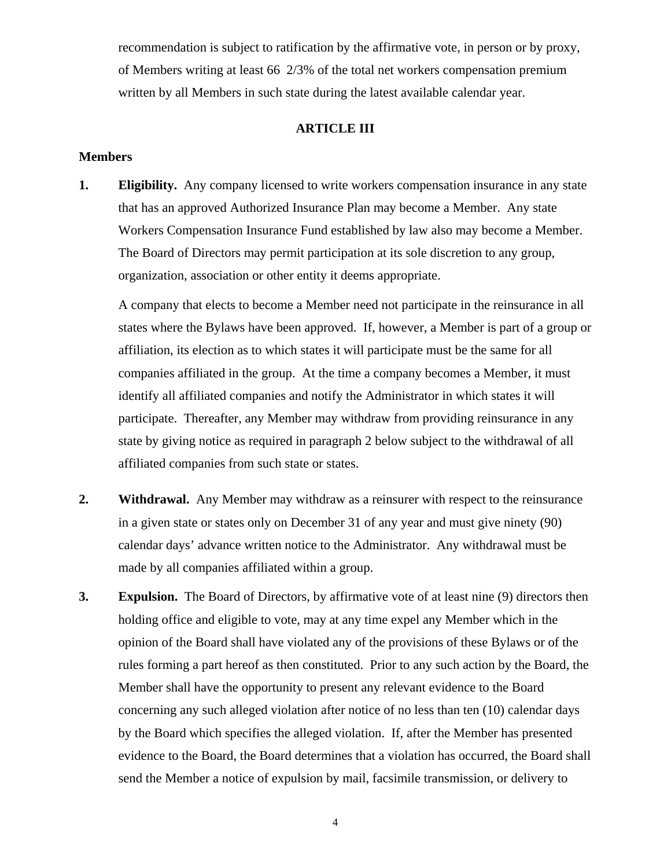recommendation is subject to ratification by the affirmative vote, in person or by proxy, of Members writing at least 66 2/3% of the total net workers compensation premium written by all Members in such state during the latest available calendar year.

# **ARTICLE III**

# **Members**

**1. Eligibility.** Any company licensed to write workers compensation insurance in any state that has an approved Authorized Insurance Plan may become a Member. Any state Workers Compensation Insurance Fund established by law also may become a Member. The Board of Directors may permit participation at its sole discretion to any group, organization, association or other entity it deems appropriate.

A company that elects to become a Member need not participate in the reinsurance in all states where the Bylaws have been approved. If, however, a Member is part of a group or affiliation, its election as to which states it will participate must be the same for all companies affiliated in the group. At the time a company becomes a Member, it must identify all affiliated companies and notify the Administrator in which states it will participate. Thereafter, any Member may withdraw from providing reinsurance in any state by giving notice as required in paragraph 2 below subject to the withdrawal of all affiliated companies from such state or states.

- **2. Withdrawal.** Any Member may withdraw as a reinsurer with respect to the reinsurance in a given state or states only on December 31 of any year and must give ninety (90) calendar days' advance written notice to the Administrator. Any withdrawal must be made by all companies affiliated within a group.
- **3. Expulsion.** The Board of Directors, by affirmative vote of at least nine (9) directors then holding office and eligible to vote, may at any time expel any Member which in the opinion of the Board shall have violated any of the provisions of these Bylaws or of the rules forming a part hereof as then constituted. Prior to any such action by the Board, the Member shall have the opportunity to present any relevant evidence to the Board concerning any such alleged violation after notice of no less than ten (10) calendar days by the Board which specifies the alleged violation. If, after the Member has presented evidence to the Board, the Board determines that a violation has occurred, the Board shall send the Member a notice of expulsion by mail, facsimile transmission, or delivery to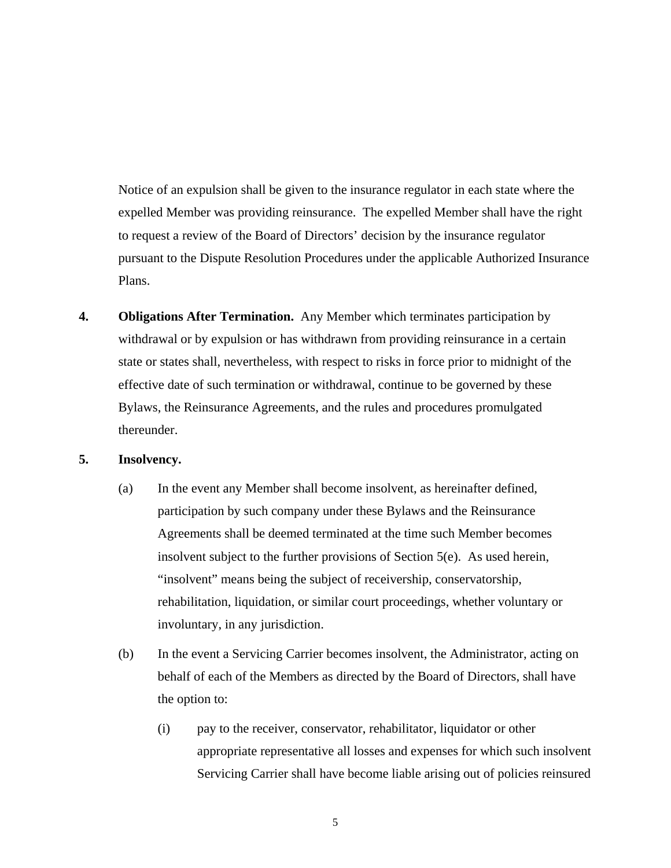Notice of an expulsion shall be given to the insurance regulator in each state where the expelled Member was providing reinsurance. The expelled Member shall have the right to request a review of the Board of Directors' decision by the insurance regulator pursuant to the Dispute Resolution Procedures under the applicable Authorized Insurance Plans.

**4. Obligations After Termination.** Any Member which terminates participation by withdrawal or by expulsion or has withdrawn from providing reinsurance in a certain state or states shall, nevertheless, with respect to risks in force prior to midnight of the effective date of such termination or withdrawal, continue to be governed by these Bylaws, the Reinsurance Agreements, and the rules and procedures promulgated thereunder.

## **5. Insolvency.**

- (a) In the event any Member shall become insolvent, as hereinafter defined, participation by such company under these Bylaws and the Reinsurance Agreements shall be deemed terminated at the time such Member becomes insolvent subject to the further provisions of Section 5(e). As used herein, "insolvent" means being the subject of receivership, conservatorship, rehabilitation, liquidation, or similar court proceedings, whether voluntary or involuntary, in any jurisdiction.
- (b) In the event a Servicing Carrier becomes insolvent, the Administrator, acting on behalf of each of the Members as directed by the Board of Directors, shall have the option to:
	- (i) pay to the receiver, conservator, rehabilitator, liquidator or other appropriate representative all losses and expenses for which such insolvent Servicing Carrier shall have become liable arising out of policies reinsured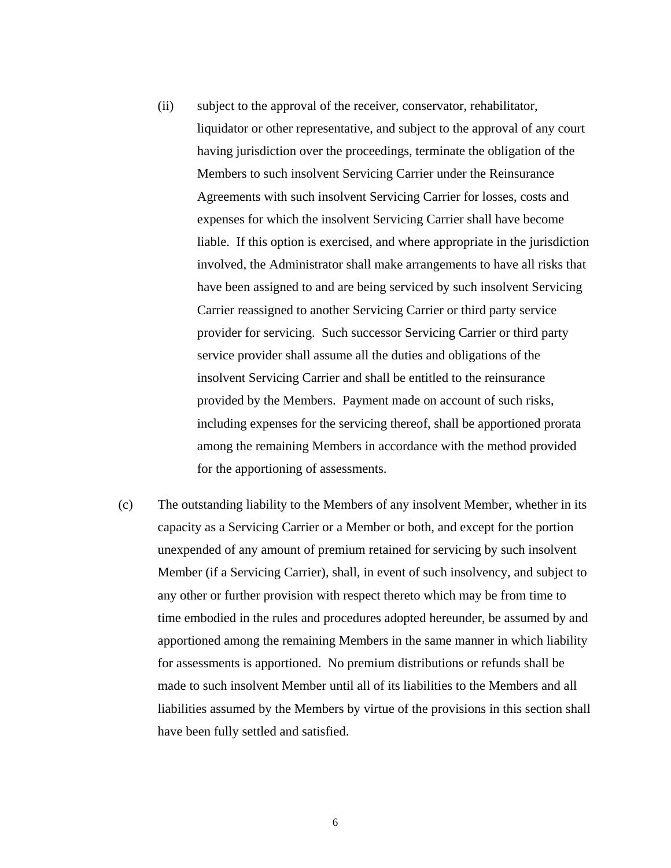- (ii) subject to the approval of the receiver, conservator, rehabilitator, liquidator or other representative, and subject to the approval of any court having jurisdiction over the proceedings, terminate the obligation of the Members to such insolvent Servicing Carrier under the Reinsurance Agreements with such insolvent Servicing Carrier for losses, costs and expenses for which the insolvent Servicing Carrier shall have become liable. If this option is exercised, and where appropriate in the jurisdiction involved, the Administrator shall make arrangements to have all risks that have been assigned to and are being serviced by such insolvent Servicing Carrier reassigned to another Servicing Carrier or third party service provider for servicing. Such successor Servicing Carrier or third party service provider shall assume all the duties and obligations of the insolvent Servicing Carrier and shall be entitled to the reinsurance provided by the Members. Payment made on account of such risks, including expenses for the servicing thereof, shall be apportioned prorata among the remaining Members in accordance with the method provided for the apportioning of assessments.
- (c) The outstanding liability to the Members of any insolvent Member, whether in its capacity as a Servicing Carrier or a Member or both, and except for the portion unexpended of any amount of premium retained for servicing by such insolvent Member (if a Servicing Carrier), shall, in event of such insolvency, and subject to any other or further provision with respect thereto which may be from time to time embodied in the rules and procedures adopted hereunder, be assumed by and apportioned among the remaining Members in the same manner in which liability for assessments is apportioned. No premium distributions or refunds shall be made to such insolvent Member until all of its liabilities to the Members and all liabilities assumed by the Members by virtue of the provisions in this section shall have been fully settled and satisfied.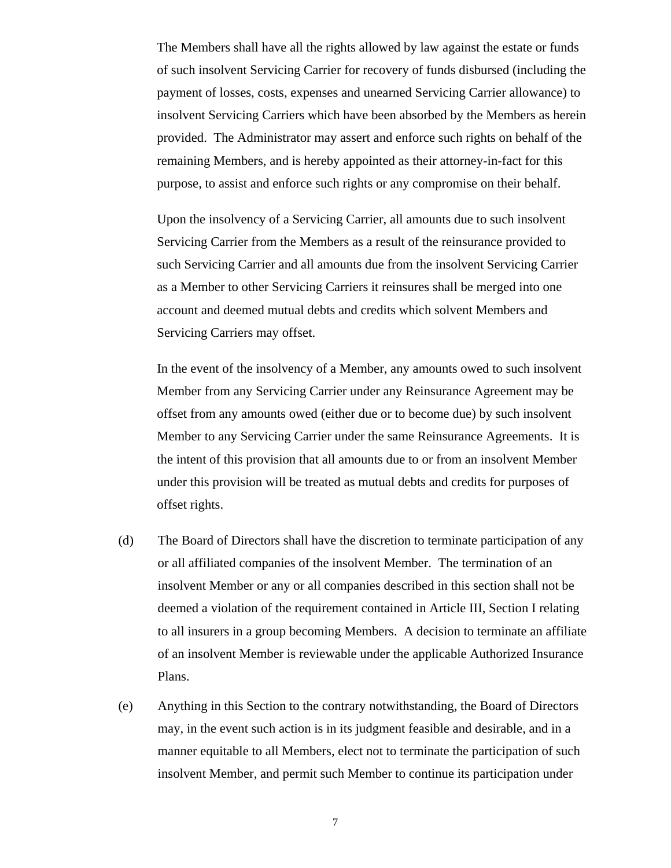The Members shall have all the rights allowed by law against the estate or funds of such insolvent Servicing Carrier for recovery of funds disbursed (including the payment of losses, costs, expenses and unearned Servicing Carrier allowance) to insolvent Servicing Carriers which have been absorbed by the Members as herein provided. The Administrator may assert and enforce such rights on behalf of the remaining Members, and is hereby appointed as their attorney-in-fact for this purpose, to assist and enforce such rights or any compromise on their behalf.

Upon the insolvency of a Servicing Carrier, all amounts due to such insolvent Servicing Carrier from the Members as a result of the reinsurance provided to such Servicing Carrier and all amounts due from the insolvent Servicing Carrier as a Member to other Servicing Carriers it reinsures shall be merged into one account and deemed mutual debts and credits which solvent Members and Servicing Carriers may offset.

In the event of the insolvency of a Member, any amounts owed to such insolvent Member from any Servicing Carrier under any Reinsurance Agreement may be offset from any amounts owed (either due or to become due) by such insolvent Member to any Servicing Carrier under the same Reinsurance Agreements. It is the intent of this provision that all amounts due to or from an insolvent Member under this provision will be treated as mutual debts and credits for purposes of offset rights.

- (d) The Board of Directors shall have the discretion to terminate participation of any or all affiliated companies of the insolvent Member. The termination of an insolvent Member or any or all companies described in this section shall not be deemed a violation of the requirement contained in Article III, Section I relating to all insurers in a group becoming Members. A decision to terminate an affiliate of an insolvent Member is reviewable under the applicable Authorized Insurance Plans.
- (e) Anything in this Section to the contrary notwithstanding, the Board of Directors may, in the event such action is in its judgment feasible and desirable, and in a manner equitable to all Members, elect not to terminate the participation of such insolvent Member, and permit such Member to continue its participation under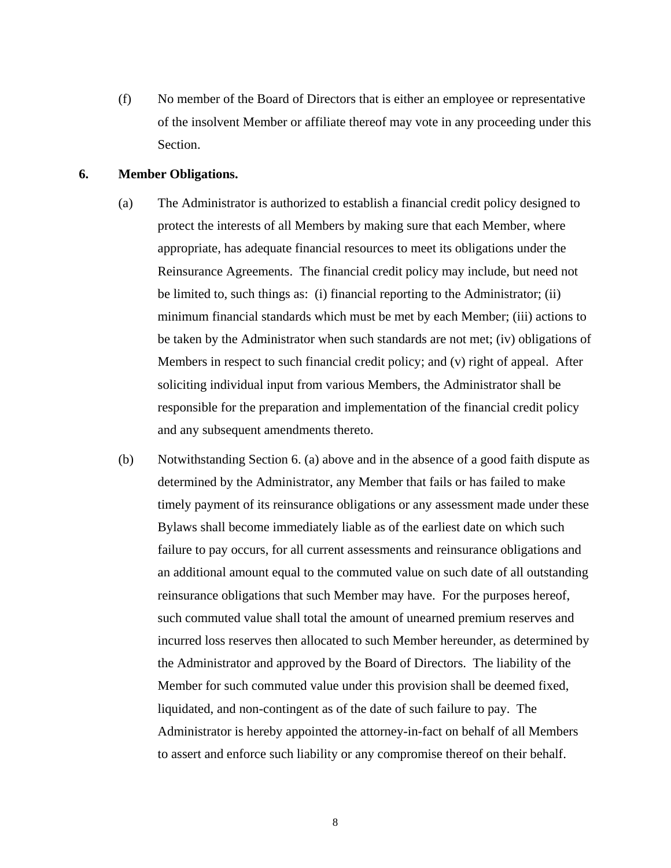(f) No member of the Board of Directors that is either an employee or representative of the insolvent Member or affiliate thereof may vote in any proceeding under this Section.

### **6. Member Obligations.**

- (a) The Administrator is authorized to establish a financial credit policy designed to protect the interests of all Members by making sure that each Member, where appropriate, has adequate financial resources to meet its obligations under the Reinsurance Agreements. The financial credit policy may include, but need not be limited to, such things as: (i) financial reporting to the Administrator; (ii) minimum financial standards which must be met by each Member; (iii) actions to be taken by the Administrator when such standards are not met; (iv) obligations of Members in respect to such financial credit policy; and (v) right of appeal. After soliciting individual input from various Members, the Administrator shall be responsible for the preparation and implementation of the financial credit policy and any subsequent amendments thereto.
- (b) Notwithstanding Section 6. (a) above and in the absence of a good faith dispute as determined by the Administrator, any Member that fails or has failed to make timely payment of its reinsurance obligations or any assessment made under these Bylaws shall become immediately liable as of the earliest date on which such failure to pay occurs, for all current assessments and reinsurance obligations and an additional amount equal to the commuted value on such date of all outstanding reinsurance obligations that such Member may have. For the purposes hereof, such commuted value shall total the amount of unearned premium reserves and incurred loss reserves then allocated to such Member hereunder, as determined by the Administrator and approved by the Board of Directors. The liability of the Member for such commuted value under this provision shall be deemed fixed, liquidated, and non-contingent as of the date of such failure to pay. The Administrator is hereby appointed the attorney-in-fact on behalf of all Members to assert and enforce such liability or any compromise thereof on their behalf.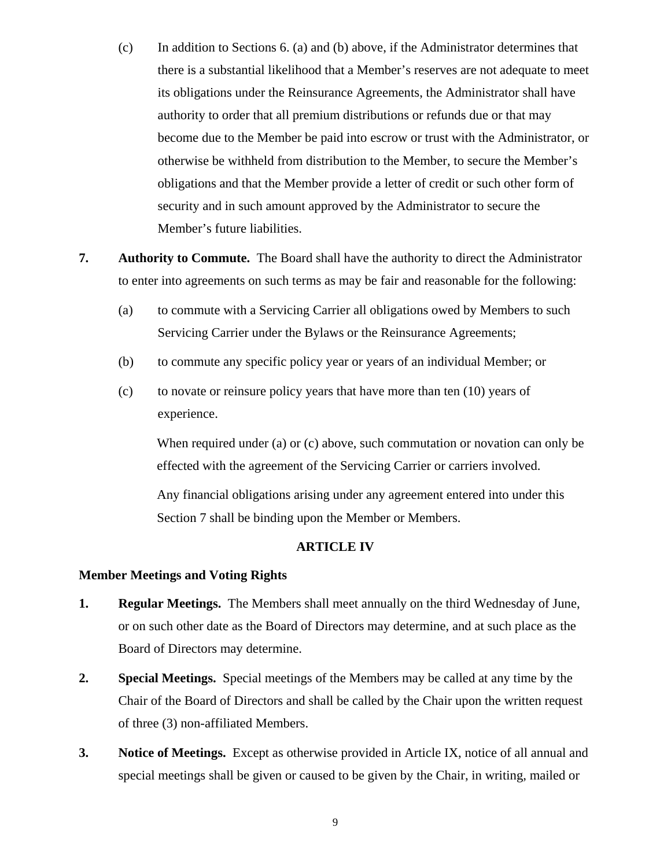- (c) In addition to Sections 6. (a) and (b) above, if the Administrator determines that there is a substantial likelihood that a Member's reserves are not adequate to meet its obligations under the Reinsurance Agreements, the Administrator shall have authority to order that all premium distributions or refunds due or that may become due to the Member be paid into escrow or trust with the Administrator, or otherwise be withheld from distribution to the Member, to secure the Member's obligations and that the Member provide a letter of credit or such other form of security and in such amount approved by the Administrator to secure the Member's future liabilities.
- **7. Authority to Commute.** The Board shall have the authority to direct the Administrator to enter into agreements on such terms as may be fair and reasonable for the following:
	- (a) to commute with a Servicing Carrier all obligations owed by Members to such Servicing Carrier under the Bylaws or the Reinsurance Agreements;
	- (b) to commute any specific policy year or years of an individual Member; or
	- (c) to novate or reinsure policy years that have more than ten (10) years of experience.

When required under (a) or (c) above, such commutation or novation can only be effected with the agreement of the Servicing Carrier or carriers involved.

Any financial obligations arising under any agreement entered into under this Section 7 shall be binding upon the Member or Members.

# **ARTICLE IV**

# **Member Meetings and Voting Rights**

- **1. Regular Meetings.** The Members shall meet annually on the third Wednesday of June, or on such other date as the Board of Directors may determine, and at such place as the Board of Directors may determine.
- **2. Special Meetings.** Special meetings of the Members may be called at any time by the Chair of the Board of Directors and shall be called by the Chair upon the written request of three (3) non-affiliated Members.
- **3. Notice of Meetings.** Except as otherwise provided in Article IX, notice of all annual and special meetings shall be given or caused to be given by the Chair, in writing, mailed or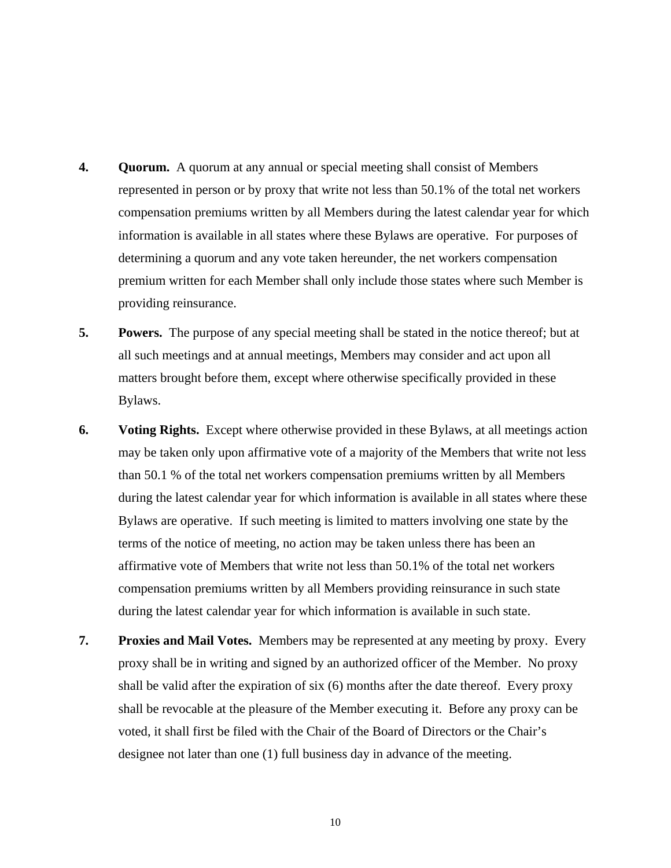- **4. Quorum.** A quorum at any annual or special meeting shall consist of Members represented in person or by proxy that write not less than 50.1% of the total net workers compensation premiums written by all Members during the latest calendar year for which information is available in all states where these Bylaws are operative. For purposes of determining a quorum and any vote taken hereunder, the net workers compensation premium written for each Member shall only include those states where such Member is providing reinsurance.
- **5. Powers.** The purpose of any special meeting shall be stated in the notice thereof; but at all such meetings and at annual meetings, Members may consider and act upon all matters brought before them, except where otherwise specifically provided in these Bylaws.
- **6. Voting Rights.** Except where otherwise provided in these Bylaws, at all meetings action may be taken only upon affirmative vote of a majority of the Members that write not less than 50.1 % of the total net workers compensation premiums written by all Members during the latest calendar year for which information is available in all states where these Bylaws are operative. If such meeting is limited to matters involving one state by the terms of the notice of meeting, no action may be taken unless there has been an affirmative vote of Members that write not less than 50.1% of the total net workers compensation premiums written by all Members providing reinsurance in such state during the latest calendar year for which information is available in such state.
- **7. Proxies and Mail Votes.** Members may be represented at any meeting by proxy. Every proxy shall be in writing and signed by an authorized officer of the Member. No proxy shall be valid after the expiration of six (6) months after the date thereof. Every proxy shall be revocable at the pleasure of the Member executing it. Before any proxy can be voted, it shall first be filed with the Chair of the Board of Directors or the Chair's designee not later than one (1) full business day in advance of the meeting.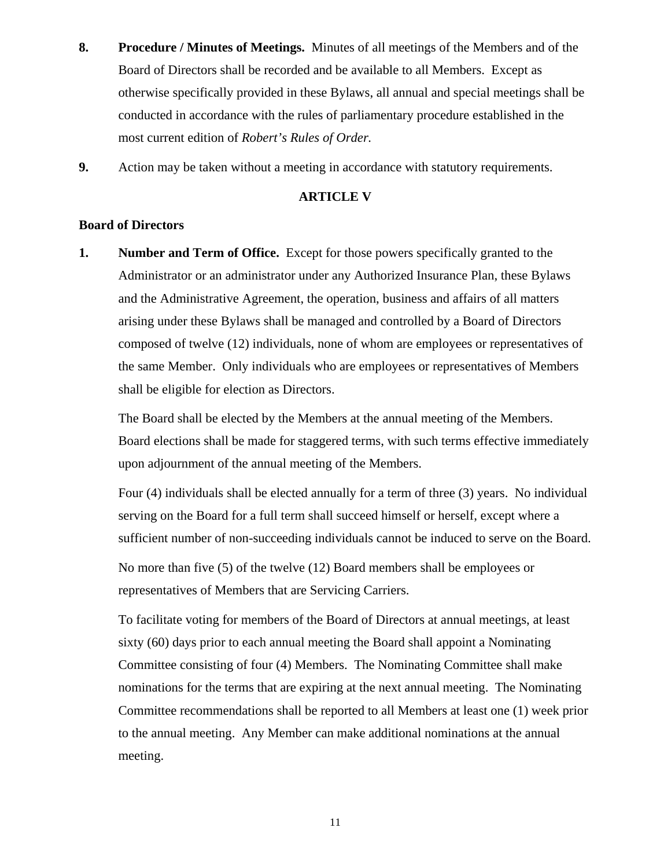- **8. Procedure / Minutes of Meetings.** Minutes of all meetings of the Members and of the Board of Directors shall be recorded and be available to all Members. Except as otherwise specifically provided in these Bylaws, all annual and special meetings shall be conducted in accordance with the rules of parliamentary procedure established in the most current edition of *Robert's Rules of Order.*
- **9.** Action may be taken without a meeting in accordance with statutory requirements.

# **ARTICLE V**

# **Board of Directors**

**1. Number and Term of Office.** Except for those powers specifically granted to the Administrator or an administrator under any Authorized Insurance Plan, these Bylaws and the Administrative Agreement, the operation, business and affairs of all matters arising under these Bylaws shall be managed and controlled by a Board of Directors composed of twelve (12) individuals, none of whom are employees or representatives of the same Member. Only individuals who are employees or representatives of Members shall be eligible for election as Directors.

The Board shall be elected by the Members at the annual meeting of the Members. Board elections shall be made for staggered terms, with such terms effective immediately upon adjournment of the annual meeting of the Members.

Four (4) individuals shall be elected annually for a term of three (3) years. No individual serving on the Board for a full term shall succeed himself or herself, except where a sufficient number of non-succeeding individuals cannot be induced to serve on the Board.

No more than five (5) of the twelve (12) Board members shall be employees or representatives of Members that are Servicing Carriers.

To facilitate voting for members of the Board of Directors at annual meetings, at least sixty (60) days prior to each annual meeting the Board shall appoint a Nominating Committee consisting of four (4) Members. The Nominating Committee shall make nominations for the terms that are expiring at the next annual meeting. The Nominating Committee recommendations shall be reported to all Members at least one (1) week prior to the annual meeting. Any Member can make additional nominations at the annual meeting.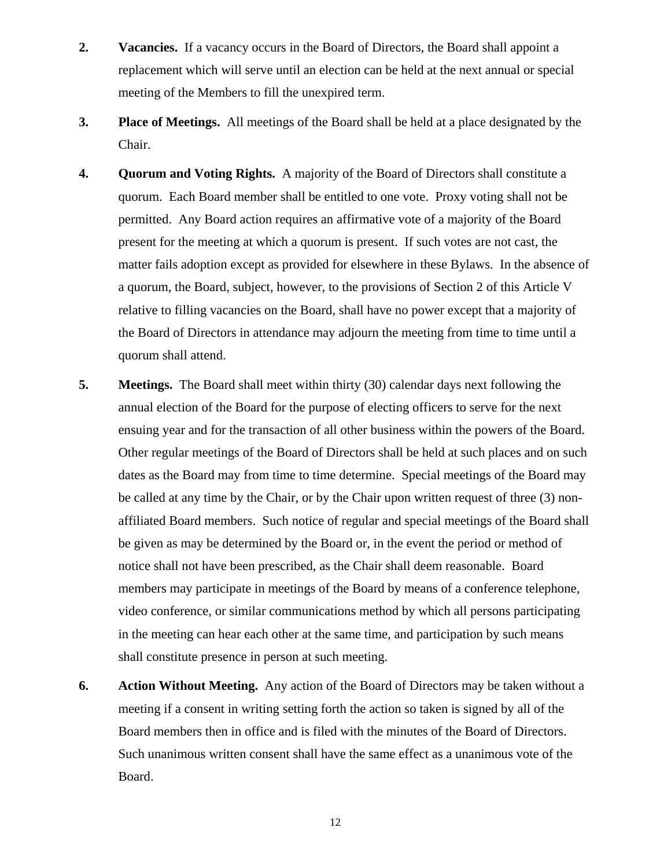- **2. Vacancies.** If a vacancy occurs in the Board of Directors, the Board shall appoint a replacement which will serve until an election can be held at the next annual or special meeting of the Members to fill the unexpired term.
- **3. Place of Meetings.** All meetings of the Board shall be held at a place designated by the Chair.
- **4. Quorum and Voting Rights.** A majority of the Board of Directors shall constitute a quorum. Each Board member shall be entitled to one vote. Proxy voting shall not be permitted. Any Board action requires an affirmative vote of a majority of the Board present for the meeting at which a quorum is present. If such votes are not cast, the matter fails adoption except as provided for elsewhere in these Bylaws. In the absence of a quorum, the Board, subject, however, to the provisions of Section 2 of this Article V relative to filling vacancies on the Board, shall have no power except that a majority of the Board of Directors in attendance may adjourn the meeting from time to time until a quorum shall attend.
- **5. Meetings.** The Board shall meet within thirty (30) calendar days next following the annual election of the Board for the purpose of electing officers to serve for the next ensuing year and for the transaction of all other business within the powers of the Board. Other regular meetings of the Board of Directors shall be held at such places and on such dates as the Board may from time to time determine. Special meetings of the Board may be called at any time by the Chair, or by the Chair upon written request of three (3) nonaffiliated Board members. Such notice of regular and special meetings of the Board shall be given as may be determined by the Board or, in the event the period or method of notice shall not have been prescribed, as the Chair shall deem reasonable. Board members may participate in meetings of the Board by means of a conference telephone, video conference, or similar communications method by which all persons participating in the meeting can hear each other at the same time, and participation by such means shall constitute presence in person at such meeting.
- **6. Action Without Meeting.** Any action of the Board of Directors may be taken without a meeting if a consent in writing setting forth the action so taken is signed by all of the Board members then in office and is filed with the minutes of the Board of Directors. Such unanimous written consent shall have the same effect as a unanimous vote of the Board.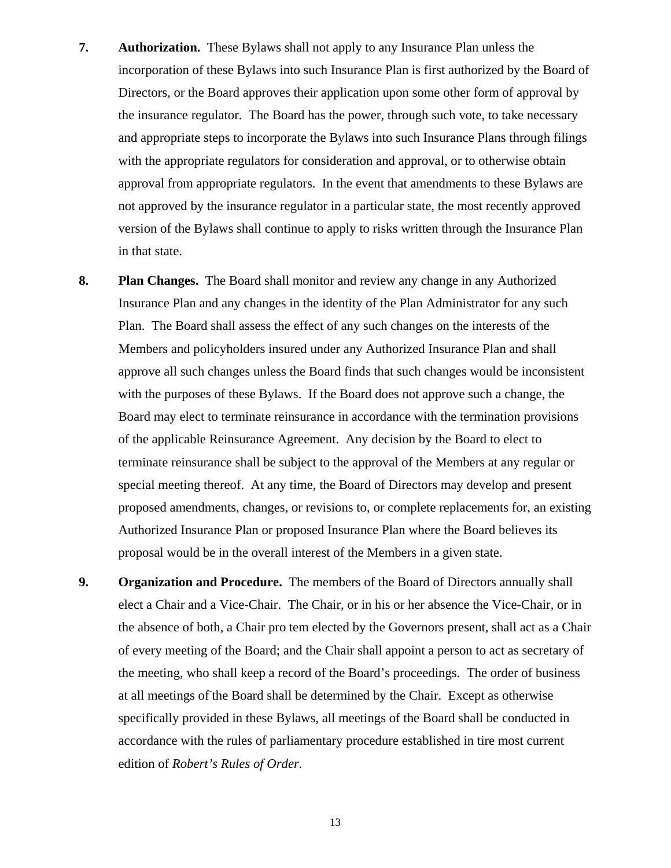- **7. Authorization.** These Bylaws shall not apply to any Insurance Plan unless the incorporation of these Bylaws into such Insurance Plan is first authorized by the Board of Directors, or the Board approves their application upon some other form of approval by the insurance regulator. The Board has the power, through such vote, to take necessary and appropriate steps to incorporate the Bylaws into such Insurance Plans through filings with the appropriate regulators for consideration and approval, or to otherwise obtain approval from appropriate regulators. In the event that amendments to these Bylaws are not approved by the insurance regulator in a particular state, the most recently approved version of the Bylaws shall continue to apply to risks written through the Insurance Plan in that state.
- **8. Plan Changes.** The Board shall monitor and review any change in any Authorized Insurance Plan and any changes in the identity of the Plan Administrator for any such Plan. The Board shall assess the effect of any such changes on the interests of the Members and policyholders insured under any Authorized Insurance Plan and shall approve all such changes unless the Board finds that such changes would be inconsistent with the purposes of these Bylaws. If the Board does not approve such a change, the Board may elect to terminate reinsurance in accordance with the termination provisions of the applicable Reinsurance Agreement. Any decision by the Board to elect to terminate reinsurance shall be subject to the approval of the Members at any regular or special meeting thereof. At any time, the Board of Directors may develop and present proposed amendments, changes, or revisions to, or complete replacements for, an existing Authorized Insurance Plan or proposed Insurance Plan where the Board believes its proposal would be in the overall interest of the Members in a given state.
- **9. Organization and Procedure.** The members of the Board of Directors annually shall elect a Chair and a Vice-Chair. The Chair, or in his or her absence the Vice-Chair, or in the absence of both, a Chair pro tem elected by the Governors present, shall act as a Chair of every meeting of the Board; and the Chair shall appoint a person to act as secretary of the meeting, who shall keep a record of the Board's proceedings. The order of business at all meetings of the Board shall be determined by the Chair. Except as otherwise specifically provided in these Bylaws, all meetings of the Board shall be conducted in accordance with the rules of parliamentary procedure established in tire most current edition of *Robert's Rules of Order.*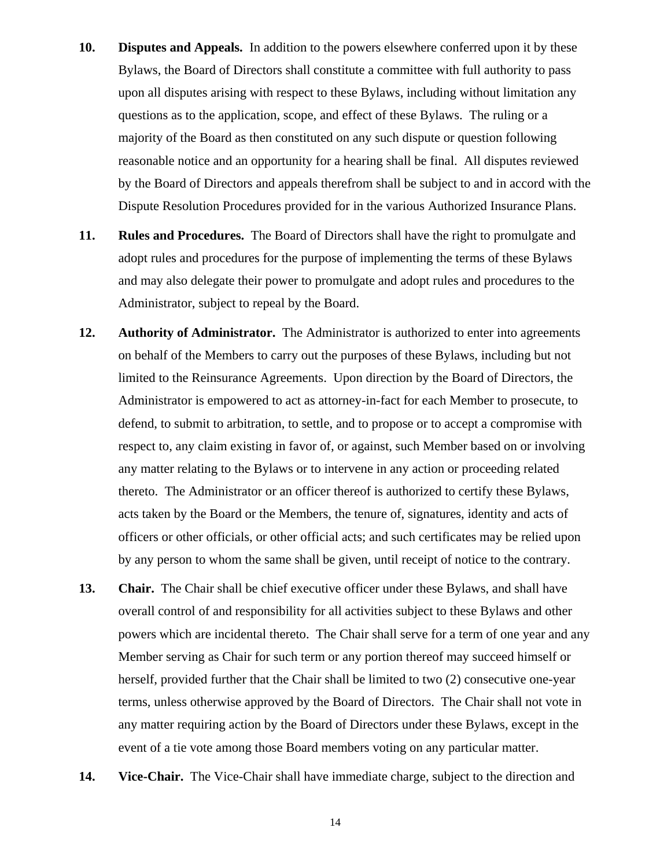- **10. Disputes and Appeals.** In addition to the powers elsewhere conferred upon it by these Bylaws, the Board of Directors shall constitute a committee with full authority to pass upon all disputes arising with respect to these Bylaws, including without limitation any questions as to the application, scope, and effect of these Bylaws. The ruling or a majority of the Board as then constituted on any such dispute or question following reasonable notice and an opportunity for a hearing shall be final. All disputes reviewed by the Board of Directors and appeals therefrom shall be subject to and in accord with the Dispute Resolution Procedures provided for in the various Authorized Insurance Plans.
- **11. Rules and Procedures.** The Board of Directors shall have the right to promulgate and adopt rules and procedures for the purpose of implementing the terms of these Bylaws and may also delegate their power to promulgate and adopt rules and procedures to the Administrator, subject to repeal by the Board.
- **12. Authority of Administrator.** The Administrator is authorized to enter into agreements on behalf of the Members to carry out the purposes of these Bylaws, including but not limited to the Reinsurance Agreements. Upon direction by the Board of Directors, the Administrator is empowered to act as attorney-in-fact for each Member to prosecute, to defend, to submit to arbitration, to settle, and to propose or to accept a compromise with respect to, any claim existing in favor of, or against, such Member based on or involving any matter relating to the Bylaws or to intervene in any action or proceeding related thereto. The Administrator or an officer thereof is authorized to certify these Bylaws, acts taken by the Board or the Members, the tenure of, signatures, identity and acts of officers or other officials, or other official acts; and such certificates may be relied upon by any person to whom the same shall be given, until receipt of notice to the contrary.
- **13. Chair.** The Chair shall be chief executive officer under these Bylaws, and shall have overall control of and responsibility for all activities subject to these Bylaws and other powers which are incidental thereto. The Chair shall serve for a term of one year and any Member serving as Chair for such term or any portion thereof may succeed himself or herself, provided further that the Chair shall be limited to two (2) consecutive one-year terms, unless otherwise approved by the Board of Directors. The Chair shall not vote in any matter requiring action by the Board of Directors under these Bylaws, except in the event of a tie vote among those Board members voting on any particular matter.
- **14. Vice-Chair.** The Vice-Chair shall have immediate charge, subject to the direction and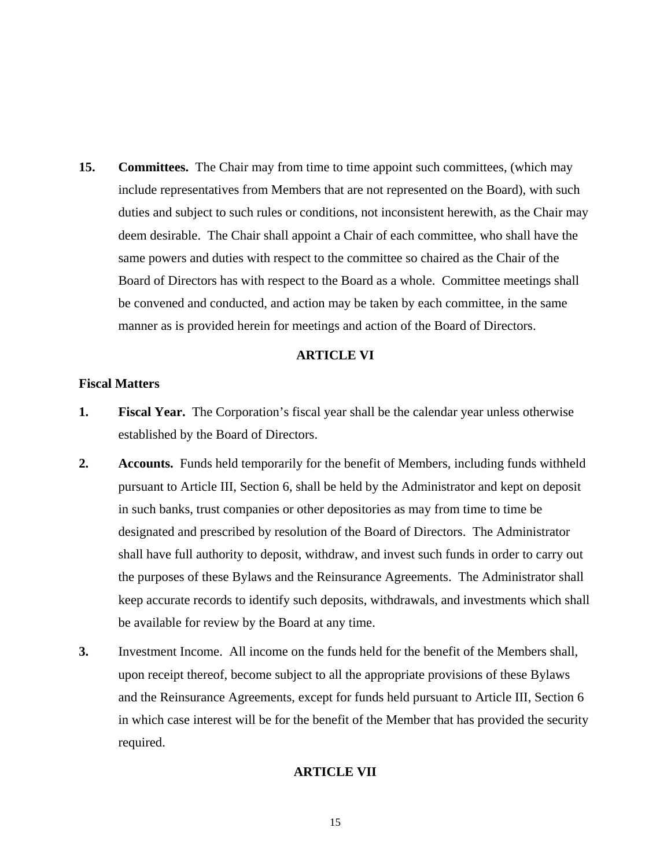**15. Committees.** The Chair may from time to time appoint such committees, (which may include representatives from Members that are not represented on the Board), with such duties and subject to such rules or conditions, not inconsistent herewith, as the Chair may deem desirable. The Chair shall appoint a Chair of each committee, who shall have the same powers and duties with respect to the committee so chaired as the Chair of the Board of Directors has with respect to the Board as a whole. Committee meetings shall be convened and conducted, and action may be taken by each committee, in the same manner as is provided herein for meetings and action of the Board of Directors.

### **ARTICLE VI**

### **Fiscal Matters**

- **1. Fiscal Year.** The Corporation's fiscal year shall be the calendar year unless otherwise established by the Board of Directors.
- **2. Accounts.** Funds held temporarily for the benefit of Members, including funds withheld pursuant to Article III, Section 6, shall be held by the Administrator and kept on deposit in such banks, trust companies or other depositories as may from time to time be designated and prescribed by resolution of the Board of Directors. The Administrator shall have full authority to deposit, withdraw, and invest such funds in order to carry out the purposes of these Bylaws and the Reinsurance Agreements. The Administrator shall keep accurate records to identify such deposits, withdrawals, and investments which shall be available for review by the Board at any time.
- **3.** Investment Income. All income on the funds held for the benefit of the Members shall, upon receipt thereof, become subject to all the appropriate provisions of these Bylaws and the Reinsurance Agreements, except for funds held pursuant to Article III, Section 6 in which case interest will be for the benefit of the Member that has provided the security required.

# **ARTICLE VII**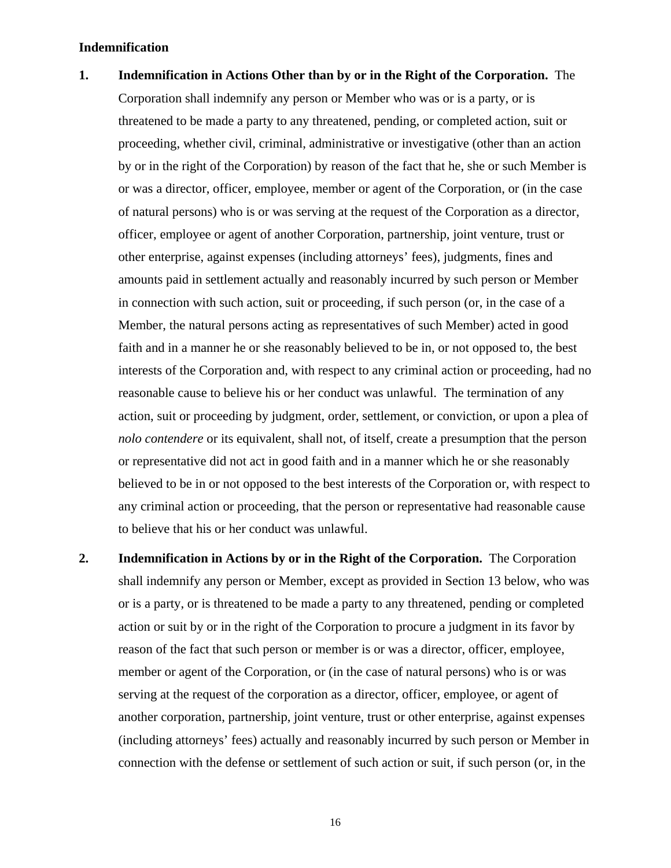### **Indemnification**

- **1. Indemnification in Actions Other than by or in the Right of the Corporation.** The Corporation shall indemnify any person or Member who was or is a party, or is threatened to be made a party to any threatened, pending, or completed action, suit or proceeding, whether civil, criminal, administrative or investigative (other than an action by or in the right of the Corporation) by reason of the fact that he, she or such Member is or was a director, officer, employee, member or agent of the Corporation, or (in the case of natural persons) who is or was serving at the request of the Corporation as a director, officer, employee or agent of another Corporation, partnership, joint venture, trust or other enterprise, against expenses (including attorneys' fees), judgments, fines and amounts paid in settlement actually and reasonably incurred by such person or Member in connection with such action, suit or proceeding, if such person (or, in the case of a Member, the natural persons acting as representatives of such Member) acted in good faith and in a manner he or she reasonably believed to be in, or not opposed to, the best interests of the Corporation and, with respect to any criminal action or proceeding, had no reasonable cause to believe his or her conduct was unlawful. The termination of any action, suit or proceeding by judgment, order, settlement, or conviction, or upon a plea of *nolo contendere* or its equivalent, shall not, of itself, create a presumption that the person or representative did not act in good faith and in a manner which he or she reasonably believed to be in or not opposed to the best interests of the Corporation or, with respect to any criminal action or proceeding, that the person or representative had reasonable cause to believe that his or her conduct was unlawful.
- **2. Indemnification in Actions by or in the Right of the Corporation.** The Corporation shall indemnify any person or Member, except as provided in Section 13 below, who was or is a party, or is threatened to be made a party to any threatened, pending or completed action or suit by or in the right of the Corporation to procure a judgment in its favor by reason of the fact that such person or member is or was a director, officer, employee, member or agent of the Corporation, or (in the case of natural persons) who is or was serving at the request of the corporation as a director, officer, employee, or agent of another corporation, partnership, joint venture, trust or other enterprise, against expenses (including attorneys' fees) actually and reasonably incurred by such person or Member in connection with the defense or settlement of such action or suit, if such person (or, in the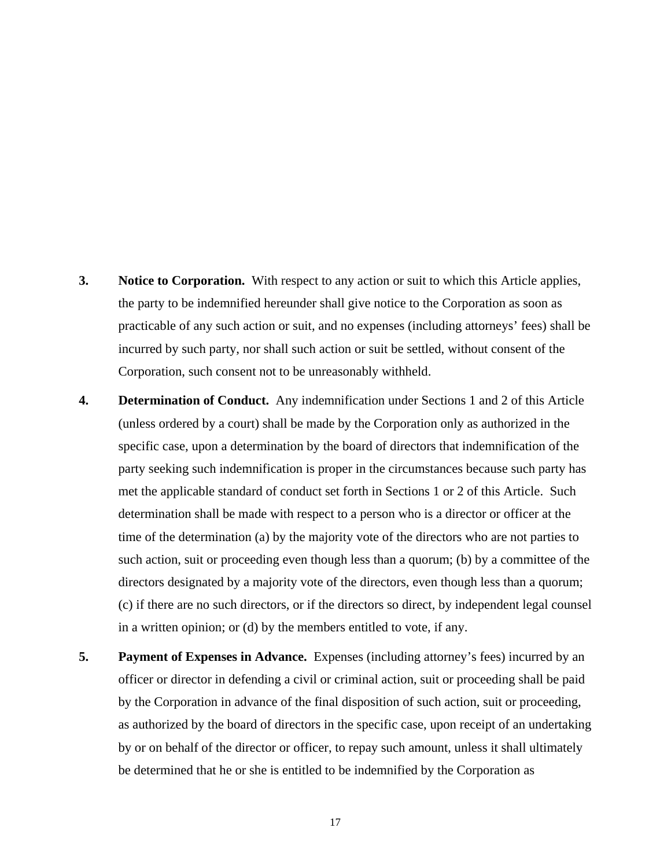- **3. Notice to Corporation.** With respect to any action or suit to which this Article applies, the party to be indemnified hereunder shall give notice to the Corporation as soon as practicable of any such action or suit, and no expenses (including attorneys' fees) shall be incurred by such party, nor shall such action or suit be settled, without consent of the Corporation, such consent not to be unreasonably withheld.
- **4. Determination of Conduct.** Any indemnification under Sections 1 and 2 of this Article (unless ordered by a court) shall be made by the Corporation only as authorized in the specific case, upon a determination by the board of directors that indemnification of the party seeking such indemnification is proper in the circumstances because such party has met the applicable standard of conduct set forth in Sections 1 or 2 of this Article. Such determination shall be made with respect to a person who is a director or officer at the time of the determination (a) by the majority vote of the directors who are not parties to such action, suit or proceeding even though less than a quorum; (b) by a committee of the directors designated by a majority vote of the directors, even though less than a quorum; (c) if there are no such directors, or if the directors so direct, by independent legal counsel in a written opinion; or (d) by the members entitled to vote, if any.
- **5. Payment of Expenses in Advance.** Expenses (including attorney's fees) incurred by an officer or director in defending a civil or criminal action, suit or proceeding shall be paid by the Corporation in advance of the final disposition of such action, suit or proceeding, as authorized by the board of directors in the specific case, upon receipt of an undertaking by or on behalf of the director or officer, to repay such amount, unless it shall ultimately be determined that he or she is entitled to be indemnified by the Corporation as
	- 17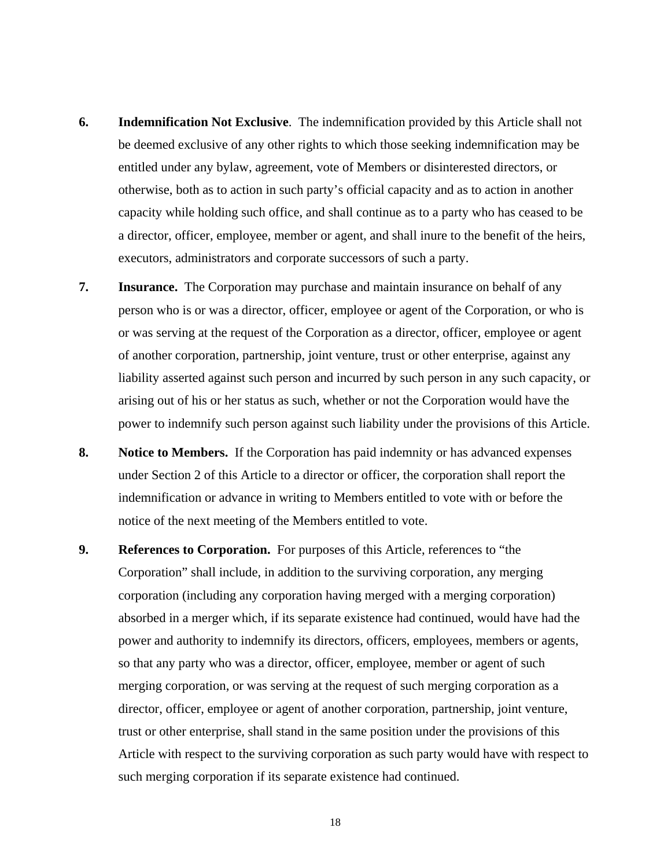- **6. Indemnification Not Exclusive**. The indemnification provided by this Article shall not be deemed exclusive of any other rights to which those seeking indemnification may be entitled under any bylaw, agreement, vote of Members or disinterested directors, or otherwise, both as to action in such party's official capacity and as to action in another capacity while holding such office, and shall continue as to a party who has ceased to be a director, officer, employee, member or agent, and shall inure to the benefit of the heirs, executors, administrators and corporate successors of such a party.
- **7. Insurance.** The Corporation may purchase and maintain insurance on behalf of any person who is or was a director, officer, employee or agent of the Corporation, or who is or was serving at the request of the Corporation as a director, officer, employee or agent of another corporation, partnership, joint venture, trust or other enterprise, against any liability asserted against such person and incurred by such person in any such capacity, or arising out of his or her status as such, whether or not the Corporation would have the power to indemnify such person against such liability under the provisions of this Article.
- **8. Notice to Members.** If the Corporation has paid indemnity or has advanced expenses under Section 2 of this Article to a director or officer, the corporation shall report the indemnification or advance in writing to Members entitled to vote with or before the notice of the next meeting of the Members entitled to vote.
- **9. References to Corporation.** For purposes of this Article, references to "the Corporation" shall include, in addition to the surviving corporation, any merging corporation (including any corporation having merged with a merging corporation) absorbed in a merger which, if its separate existence had continued, would have had the power and authority to indemnify its directors, officers, employees, members or agents, so that any party who was a director, officer, employee, member or agent of such merging corporation, or was serving at the request of such merging corporation as a director, officer, employee or agent of another corporation, partnership, joint venture, trust or other enterprise, shall stand in the same position under the provisions of this Article with respect to the surviving corporation as such party would have with respect to such merging corporation if its separate existence had continued.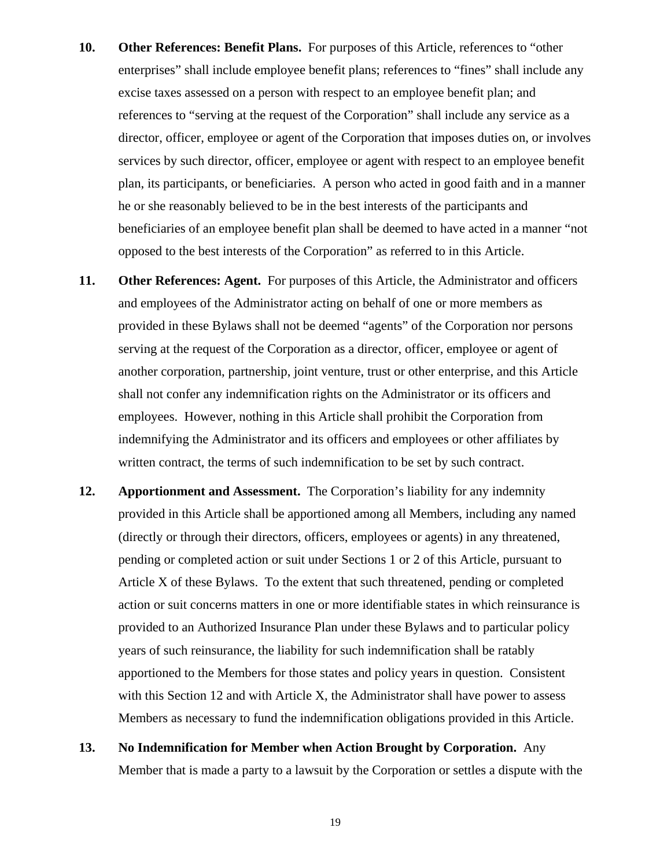- **10. Other References: Benefit Plans.** For purposes of this Article, references to "other enterprises" shall include employee benefit plans; references to "fines" shall include any excise taxes assessed on a person with respect to an employee benefit plan; and references to "serving at the request of the Corporation" shall include any service as a director, officer, employee or agent of the Corporation that imposes duties on, or involves services by such director, officer, employee or agent with respect to an employee benefit plan, its participants, or beneficiaries. A person who acted in good faith and in a manner he or she reasonably believed to be in the best interests of the participants and beneficiaries of an employee benefit plan shall be deemed to have acted in a manner "not opposed to the best interests of the Corporation" as referred to in this Article.
- **11. Other References: Agent.** For purposes of this Article, the Administrator and officers and employees of the Administrator acting on behalf of one or more members as provided in these Bylaws shall not be deemed "agents" of the Corporation nor persons serving at the request of the Corporation as a director, officer, employee or agent of another corporation, partnership, joint venture, trust or other enterprise, and this Article shall not confer any indemnification rights on the Administrator or its officers and employees. However, nothing in this Article shall prohibit the Corporation from indemnifying the Administrator and its officers and employees or other affiliates by written contract, the terms of such indemnification to be set by such contract.
- **12. Apportionment and Assessment.** The Corporation's liability for any indemnity provided in this Article shall be apportioned among all Members, including any named (directly or through their directors, officers, employees or agents) in any threatened, pending or completed action or suit under Sections 1 or 2 of this Article, pursuant to Article X of these Bylaws. To the extent that such threatened, pending or completed action or suit concerns matters in one or more identifiable states in which reinsurance is provided to an Authorized Insurance Plan under these Bylaws and to particular policy years of such reinsurance, the liability for such indemnification shall be ratably apportioned to the Members for those states and policy years in question. Consistent with this Section 12 and with Article X, the Administrator shall have power to assess Members as necessary to fund the indemnification obligations provided in this Article.
- **13. No Indemnification for Member when Action Brought by Corporation.** Any Member that is made a party to a lawsuit by the Corporation or settles a dispute with the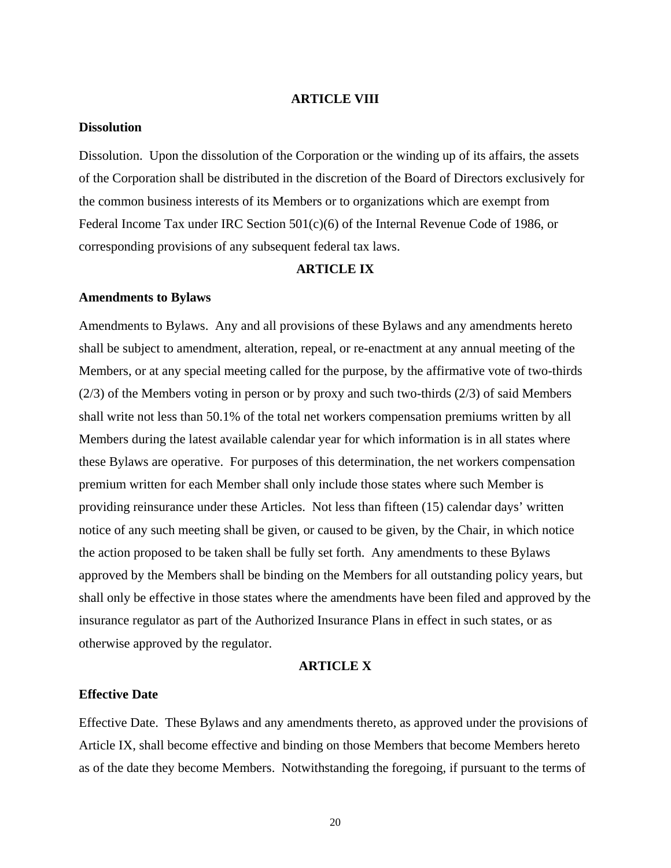### **ARTICLE VIII**

## **Dissolution**

Dissolution. Upon the dissolution of the Corporation or the winding up of its affairs, the assets of the Corporation shall be distributed in the discretion of the Board of Directors exclusively for the common business interests of its Members or to organizations which are exempt from Federal Income Tax under IRC Section 501(c)(6) of the Internal Revenue Code of 1986, or corresponding provisions of any subsequent federal tax laws.

### **ARTICLE IX**

#### **Amendments to Bylaws**

Amendments to Bylaws. Any and all provisions of these Bylaws and any amendments hereto shall be subject to amendment, alteration, repeal, or re-enactment at any annual meeting of the Members, or at any special meeting called for the purpose, by the affirmative vote of two-thirds (2/3) of the Members voting in person or by proxy and such two-thirds (2/3) of said Members shall write not less than 50.1% of the total net workers compensation premiums written by all Members during the latest available calendar year for which information is in all states where these Bylaws are operative. For purposes of this determination, the net workers compensation premium written for each Member shall only include those states where such Member is providing reinsurance under these Articles. Not less than fifteen (15) calendar days' written notice of any such meeting shall be given, or caused to be given, by the Chair, in which notice the action proposed to be taken shall be fully set forth. Any amendments to these Bylaws approved by the Members shall be binding on the Members for all outstanding policy years, but shall only be effective in those states where the amendments have been filed and approved by the insurance regulator as part of the Authorized Insurance Plans in effect in such states, or as otherwise approved by the regulator.

#### **ARTICLE X**

### **Effective Date**

Effective Date. These Bylaws and any amendments thereto, as approved under the provisions of Article IX, shall become effective and binding on those Members that become Members hereto as of the date they become Members. Notwithstanding the foregoing, if pursuant to the terms of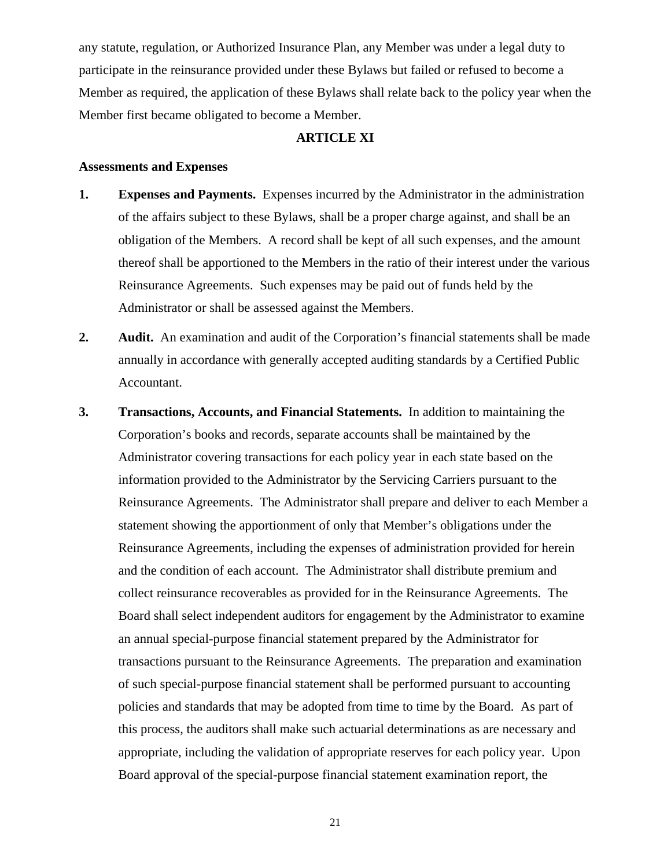any statute, regulation, or Authorized Insurance Plan, any Member was under a legal duty to participate in the reinsurance provided under these Bylaws but failed or refused to become a Member as required, the application of these Bylaws shall relate back to the policy year when the Member first became obligated to become a Member.

### **ARTICLE XI**

### **Assessments and Expenses**

- **1. Expenses and Payments.** Expenses incurred by the Administrator in the administration of the affairs subject to these Bylaws, shall be a proper charge against, and shall be an obligation of the Members. A record shall be kept of all such expenses, and the amount thereof shall be apportioned to the Members in the ratio of their interest under the various Reinsurance Agreements. Such expenses may be paid out of funds held by the Administrator or shall be assessed against the Members.
- **2. Audit.** An examination and audit of the Corporation's financial statements shall be made annually in accordance with generally accepted auditing standards by a Certified Public Accountant.
- **3. Transactions, Accounts, and Financial Statements.** In addition to maintaining the Corporation's books and records, separate accounts shall be maintained by the Administrator covering transactions for each policy year in each state based on the information provided to the Administrator by the Servicing Carriers pursuant to the Reinsurance Agreements. The Administrator shall prepare and deliver to each Member a statement showing the apportionment of only that Member's obligations under the Reinsurance Agreements, including the expenses of administration provided for herein and the condition of each account. The Administrator shall distribute premium and collect reinsurance recoverables as provided for in the Reinsurance Agreements. The Board shall select independent auditors for engagement by the Administrator to examine an annual special-purpose financial statement prepared by the Administrator for transactions pursuant to the Reinsurance Agreements. The preparation and examination of such special-purpose financial statement shall be performed pursuant to accounting policies and standards that may be adopted from time to time by the Board. As part of this process, the auditors shall make such actuarial determinations as are necessary and appropriate, including the validation of appropriate reserves for each policy year. Upon Board approval of the special-purpose financial statement examination report, the